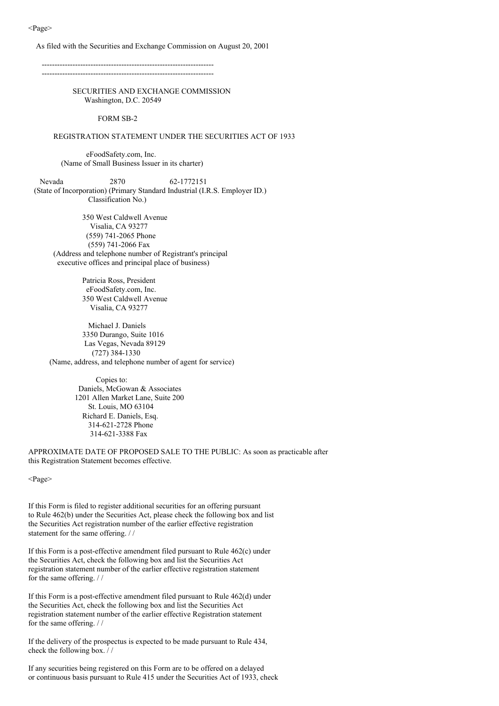As filed with the Securities and Exchange Commission on August 20, 2001

------------------------------------------------------------------- -------------------------------------------------------------------

> SECURITIES AND EXCHANGE COMMISSION Washington, D.C. 20549

> > FORM SB-2

#### REGISTRATION STATEMENT UNDER THE SECURITIES ACT OF 1933

eFoodSafety.com, Inc. (Name of Small Business Issuer in its charter)

Nevada 2870 62-1772151 (State of Incorporation) (Primary Standard Industrial (I.R.S. Employer ID.) Classification No.)

350 West Caldwell Avenue Visalia, CA 93277 (559) 741-2065 Phone (559) 741-2066 Fax (Address and telephone number of Registrant's principal executive offices and principal place of business)

> Patricia Ross, President eFoodSafety.com, Inc. 350 West Caldwell Avenue Visalia, CA 93277

Michael J. Daniels 3350 Durango, Suite 1016 Las Vegas, Nevada 89129 (727) 384-1330 (Name, address, and telephone number of agent for service)

> Copies to: Daniels, McGowan & Associates 1201 Allen Market Lane, Suite 200 St. Louis, MO 63104 Richard E. Daniels, Esq. 314-621-2728 Phone 314-621-3388 Fax

APPROXIMATE DATE OF PROPOSED SALE TO THE PUBLIC: As soon as practicable after this Registration Statement becomes effective.

<Page>

If this Form is filed to register additional securities for an offering pursuant to Rule 462(b) under the Securities Act, please check the following box and list the Securities Act registration number of the earlier effective registration statement for the same offering. / /

If this Form is a post-effective amendment filed pursuant to Rule 462(c) under the Securities Act, check the following box and list the Securities Act registration statement number of the earlier effective registration statement for the same offering. / /

If this Form is a post-effective amendment filed pursuant to Rule 462(d) under the Securities Act, check the following box and list the Securities Act registration statement number of the earlier effective Registration statement for the same offering. / /

If the delivery of the prospectus is expected to be made pursuant to Rule 434, check the following box. / /

If any securities being registered on this Form are to be offered on a delayed or continuous basis pursuant to Rule 415 under the Securities Act of 1933, check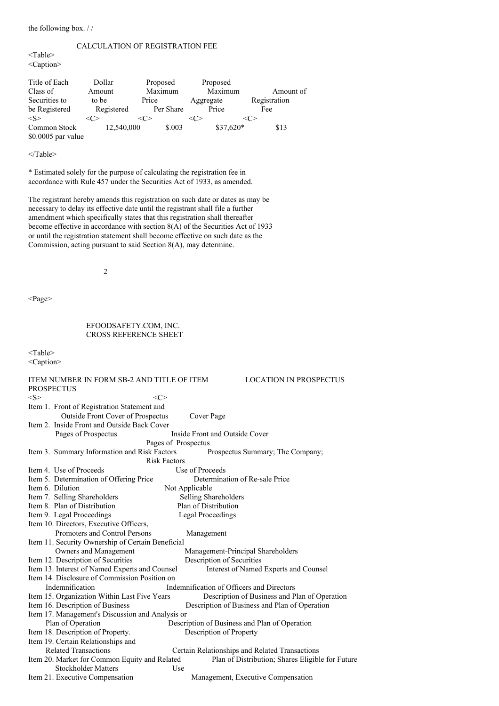the following box. / /

### CALCULATION OF REGISTRATION FEE

<Table> <Caption>

| Title of Each<br>Class of           | Dollar<br>Amount    | Proposed<br>Maximum |           |           | Proposed<br>Maximum | Amount of           |
|-------------------------------------|---------------------|---------------------|-----------|-----------|---------------------|---------------------|
| Securities to<br>be Registered      | to be<br>Registered | Price               | Per Share | Aggregate | Price               | Registration<br>Fee |
| < S >                               |                     |                     |           |           |                     |                     |
| Common Stock<br>$$0.0005$ par value | 12,540,000          |                     | \$.003    |           | $$37,620*$          | \$13                |

#### </Table>

\* Estimated solely for the purpose of calculating the registration fee in accordance with Rule 457 under the Securities Act of 1933, as amended.

The registrant hereby amends this registration on such date or dates as may be necessary to delay its effective date until the registrant shall file a further amendment which specifically states that this registration shall thereafter become effective in accordance with section 8(A) of the Securities Act of 1933 or until the registration statement shall become effective on such date as the Commission, acting pursuant to said Section 8(A), may determine.

2

<Page>

# EFOODSAFETY.COM, INC. CROSS REFERENCE SHEET

<Table>

<Caption>

| ITEM NUMBER IN FORM SB-2 AND TITLE OF ITEM        |                                           | <b>LOCATION IN PROSPECTUS</b>                    |
|---------------------------------------------------|-------------------------------------------|--------------------------------------------------|
| <b>PROSPECTUS</b>                                 |                                           |                                                  |
| < S >                                             | <<>                                       |                                                  |
| Item 1. Front of Registration Statement and       |                                           |                                                  |
| Outside Front Cover of Prospectus                 | Cover Page                                |                                                  |
| Item 2. Inside Front and Outside Back Cover       |                                           |                                                  |
| Pages of Prospectus                               | Inside Front and Outside Cover            |                                                  |
|                                                   | Pages of Prospectus                       |                                                  |
| Item 3. Summary Information and Risk Factors      |                                           | Prospectus Summary; The Company;                 |
|                                                   | <b>Risk Factors</b>                       |                                                  |
| Item 4. Use of Proceeds                           | Use of Proceeds                           |                                                  |
| Item 5. Determination of Offering Price           |                                           | Determination of Re-sale Price                   |
| Item 6. Dilution                                  | Not Applicable                            |                                                  |
| Item 7. Selling Shareholders                      | Selling Shareholders                      |                                                  |
| Item 8. Plan of Distribution                      | Plan of Distribution                      |                                                  |
| Item 9. Legal Proceedings                         | <b>Legal Proceedings</b>                  |                                                  |
| Item 10. Directors, Executive Officers,           |                                           |                                                  |
| Promoters and Control Persons                     | Management                                |                                                  |
| Item 11. Security Ownership of Certain Beneficial |                                           |                                                  |
| Owners and Management                             |                                           | Management-Principal Shareholders                |
| Item 12. Description of Securities                | Description of Securities                 |                                                  |
| Item 13. Interest of Named Experts and Counsel    |                                           | Interest of Named Experts and Counsel            |
| Item 14. Disclosure of Commission Position on     |                                           |                                                  |
| Indemnification                                   | Indemnification of Officers and Directors |                                                  |
| Item 15. Organization Within Last Five Years      |                                           | Description of Business and Plan of Operation    |
| Item 16. Description of Business                  |                                           | Description of Business and Plan of Operation    |
| Item 17. Management's Discussion and Analysis or  |                                           |                                                  |
| Plan of Operation                                 |                                           | Description of Business and Plan of Operation    |
| Item 18. Description of Property.                 | Description of Property                   |                                                  |
| Item 19. Certain Relationships and                |                                           |                                                  |
| <b>Related Transactions</b>                       |                                           | Certain Relationships and Related Transactions   |
| Item 20. Market for Common Equity and Related     |                                           | Plan of Distribution; Shares Eligible for Future |
| <b>Stockholder Matters</b>                        | Use                                       |                                                  |
| Item 21. Executive Compensation                   |                                           | Management, Executive Compensation               |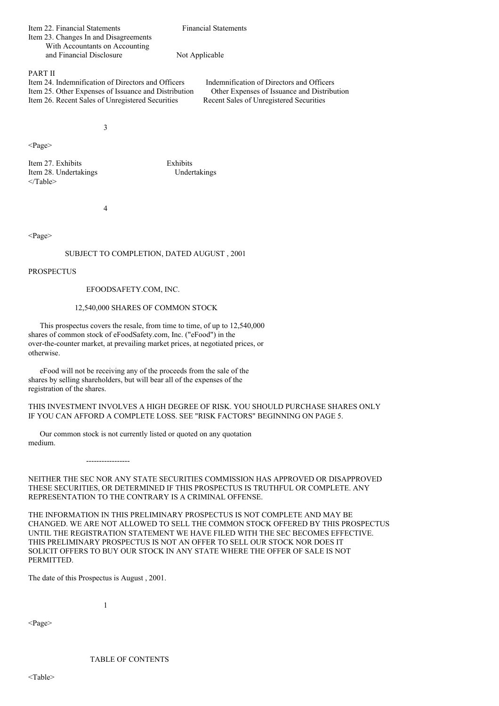| <b>Financial Statements</b> |  |
|-----------------------------|--|
|                             |  |
|                             |  |
| Not Applicable              |  |
|                             |  |

PART II

Item 24. Indemnification of Directors and Officers<br>Item 25. Other Expenses of Issuance and Distribution Other Expenses of Issuance and Distribution Item 25. Other Expenses of Issuance and Distribution Item 26. Recent Sales of Unregistered Securities Recent Sales of Unregistered Securities

3

<Page>

Item 27. Exhibits Exhibits Item 28. Undertakings Undertakings </Table>

4

<Page>

# SUBJECT TO COMPLETION, DATED AUGUST , 2001

PROSPECTUS

EFOODSAFETY.COM, INC.

# 12,540,000 SHARES OF COMMON STOCK

This prospectus covers the resale, from time to time, of up to 12,540,000 shares of common stock of eFoodSafety.com, Inc. ("eFood") in the over-the-counter market, at prevailing market prices, at negotiated prices, or otherwise.

eFood will not be receiving any of the proceeds from the sale of the shares by selling shareholders, but will bear all of the expenses of the registration of the shares.

THIS INVESTMENT INVOLVES A HIGH DEGREE OF RISK. YOU SHOULD PURCHASE SHARES ONLY IF YOU CAN AFFORD A COMPLETE LOSS. SEE "RISK FACTORS" BEGINNING ON PAGE 5.

Our common stock is not currently listed or quoted on any quotation medium.

-----------------

NEITHER THE SEC NOR ANY STATE SECURITIES COMMISSION HAS APPROVED OR DISAPPROVED THESE SECURITIES, OR DETERMINED IF THIS PROSPECTUS IS TRUTHFUL OR COMPLETE. ANY REPRESENTATION TO THE CONTRARY IS A CRIMINAL OFFENSE.

THE INFORMATION IN THIS PRELIMINARY PROSPECTUS IS NOT COMPLETE AND MAY BE CHANGED. WE ARE NOT ALLOWED TO SELL THE COMMON STOCK OFFERED BY THIS PROSPECTUS UNTIL THE REGISTRATION STATEMENT WE HAVE FILED WITH THE SEC BECOMES EFFECTIVE. THIS PRELIMINARY PROSPECTUS IS NOT AN OFFER TO SELL OUR STOCK NOR DOES IT SOLICIT OFFERS TO BUY OUR STOCK IN ANY STATE WHERE THE OFFER OF SALE IS NOT PERMITTED.

The date of this Prospectus is August , 2001.

1

<Page>

TABLE OF CONTENTS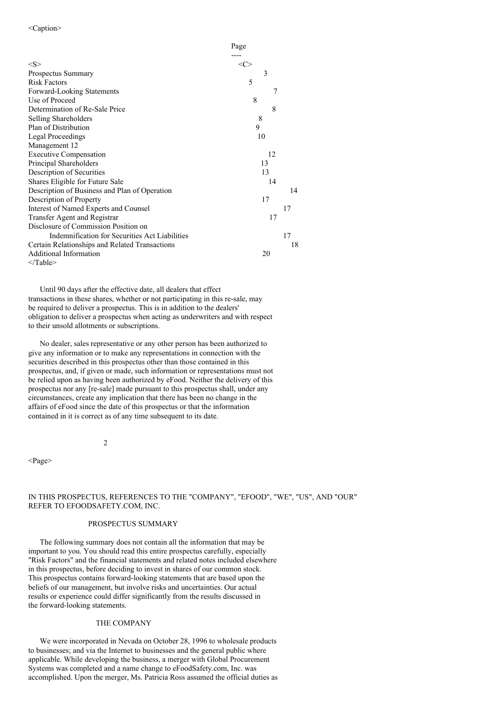|                                                | Page    |    |
|------------------------------------------------|---------|----|
|                                                |         |    |
| $<\leq>$                                       | <c></c> |    |
| Prospectus Summary                             | 3       |    |
| <b>Risk Factors</b>                            | 5       |    |
| Forward-Looking Statements                     | 7       |    |
| Use of Proceed                                 | 8       |    |
| Determination of Re-Sale Price                 | 8       |    |
| Selling Shareholders                           | 8       |    |
| Plan of Distribution                           | 9       |    |
| Legal Proceedings                              | 10      |    |
| Management 12                                  |         |    |
| <b>Executive Compensation</b>                  | 12      |    |
| Principal Shareholders                         | 13      |    |
| Description of Securities                      | 13      |    |
| Shares Eligible for Future Sale                | 14      |    |
| Description of Business and Plan of Operation  |         | 14 |
| Description of Property                        | 17      |    |
| Interest of Named Experts and Counsel          |         | 17 |
| Transfer Agent and Registrar                   | 17      |    |
| Disclosure of Commission Position on           |         |    |
| Indemnification for Securities Act Liabilities |         | 17 |
| Certain Relationships and Related Transactions |         | 18 |
| Additional Information                         | 20      |    |
| $<$ Table $>$                                  |         |    |

Until 90 days after the effective date, all dealers that effect transactions in these shares, whether or not participating in this re-sale, may be required to deliver a prospectus. This is in addition to the dealers' obligation to deliver a prospectus when acting as underwriters and with respect to their unsold allotments or subscriptions.

No dealer, sales representative or any other person has been authorized to give any information or to make any representations in connection with the securities described in this prospectus other than those contained in this prospectus, and, if given or made, such information or representations must not be relied upon as having been authorized by eFood. Neither the delivery of this prospectus nor any [re-sale] made pursuant to this prospectus shall, under any circumstances, create any implication that there has been no change in the affairs of eFood since the date of this prospectus or that the information contained in it is correct as of any time subsequent to its date.

2

<Page>

# IN THIS PROSPECTUS, REFERENCES TO THE "COMPANY", "EFOOD", "WE", "US", AND "OUR" REFER TO EFOODSAFETY.COM, INC.

## PROSPECTUS SUMMARY

The following summary does not contain all the information that may be important to you. You should read this entire prospectus carefully, especially "Risk Factors" and the financial statements and related notes included elsewhere in this prospectus, before deciding to invest in shares of our common stock. This prospectus contains forward-looking statements that are based upon the beliefs of our management, but involve risks and uncertainties. Our actual results or experience could differ significantly from the results discussed in the forward-looking statements.

### THE COMPANY

We were incorporated in Nevada on October 28, 1996 to wholesale products to businesses; and via the Internet to businesses and the general public where applicable. While developing the business, a merger with Global Procurement Systems was completed and a name change to eFoodSafety.com, Inc. was accomplished. Upon the merger, Ms. Patricia Ross assumed the official duties as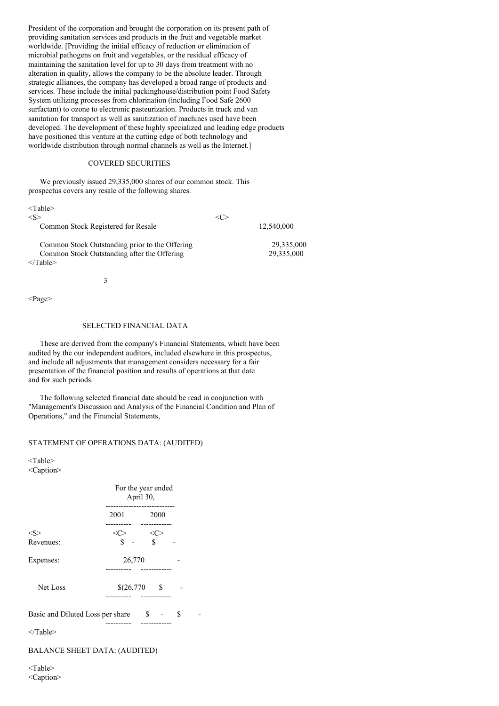President of the corporation and brought the corporation on its present path of providing sanitation services and products in the fruit and vegetable market worldwide. [Providing the initial efficacy of reduction or elimination of microbial pathogens on fruit and vegetables, or the residual efficacy of maintaining the sanitation level for up to 30 days from treatment with no alteration in quality, allows the company to be the absolute leader. Through strategic alliances, the company has developed a broad range of products and services. These include the initial packinghouse/distribution point Food Safety System utilizing processes from chlorination (including Food Safe 2600 surfactant) to ozone to electronic pasteurization. Products in truck and van sanitation for transport as well as sanitization of machines used have been developed. The development of these highly specialized and leading edge products have positioned this venture at the cutting edge of both technology and worldwide distribution through normal channels as well as the Internet.]

# COVERED SECURITIES

We previously issued 29,335,000 shares of our common stock. This prospectus covers any resale of the following shares.

| $<$ Table $>$                                  |            |
|------------------------------------------------|------------|
| $<\!S>$                                        |            |
| Common Stock Registered for Resale             | 12,540,000 |
| Common Stock Outstanding prior to the Offering | 29,335,000 |
| Common Stock Outstanding after the Offering    | 29,335,000 |
| $\langle$ Table>                               |            |

3

<Page>

# SELECTED FINANCIAL DATA

These are derived from the company's Financial Statements, which have been audited by the our independent auditors, included elsewhere in this prospectus, and include all adjustments that management considers necessary for a fair presentation of the financial position and results of operations at that date and for such periods.

The following selected financial date should be read in conjunction with "Management's Discussion and Analysis of the Financial Condition and Plan of Operations," and the Financial Statements,

#### STATEMENT OF OPERATIONS DATA: (AUDITED)

<Table> <Caption>

|                                  |            | For the year ended<br>April 30, |   |  |
|----------------------------------|------------|---------------------------------|---|--|
|                                  | 2001       | 2000                            |   |  |
| $<\leq>$                         | <<>        | $<\!\!C\!\!>$                   |   |  |
| Revenues:                        | \$         | $\mathbf S$                     |   |  |
| Expenses:                        | 26,770     |                                 |   |  |
| Net Loss                         | \$(26,770) | - \$<br>--------                |   |  |
| Basic and Diluted Loss per share | \$         |                                 | S |  |
| $<$ Table>                       |            |                                 |   |  |

BALANCE SHEET DATA: (AUDITED)

<Table> <Caption>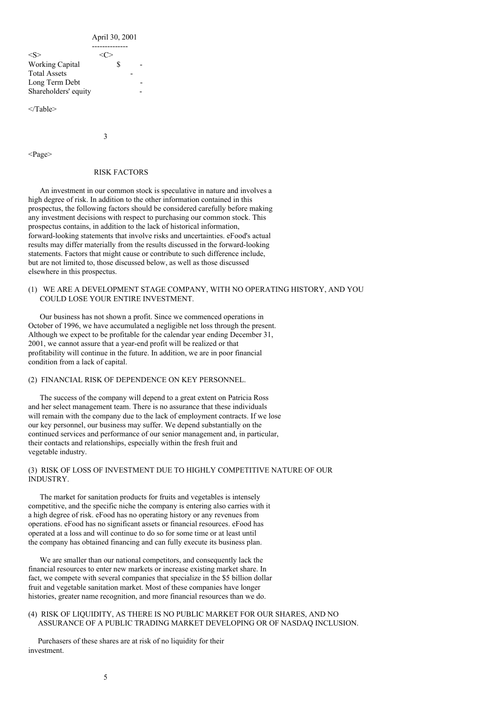April 30, 2001

| $<\!\!S\!\!>$          |  |  |
|------------------------|--|--|
| <b>Working Capital</b> |  |  |
| <b>Total Assets</b>    |  |  |
| Long Term Debt         |  |  |
| Shareholders' equity   |  |  |
|                        |  |  |

</Table>

3

<Page>

### RISK FACTORS

An investment in our common stock is speculative in nature and involves a high degree of risk. In addition to the other information contained in this prospectus, the following factors should be considered carefully before making any investment decisions with respect to purchasing our common stock. This prospectus contains, in addition to the lack of historical information, forward-looking statements that involve risks and uncertainties. eFood's actual results may differ materially from the results discussed in the forward-looking statements. Factors that might cause or contribute to such difference include, but are not limited to, those discussed below, as well as those discussed elsewhere in this prospectus.

# (1) WE ARE A DEVELOPMENT STAGE COMPANY, WITH NO OPERATING HISTORY, AND YOU COULD LOSE YOUR ENTIRE INVESTMENT.

Our business has not shown a profit. Since we commenced operations in October of 1996, we have accumulated a negligible net loss through the present. Although we expect to be profitable for the calendar year ending December 31, 2001, we cannot assure that a year-end profit will be realized or that profitability will continue in the future. In addition, we are in poor financial condition from a lack of capital.

# (2) FINANCIAL RISK OF DEPENDENCE ON KEY PERSONNEL.

The success of the company will depend to a great extent on Patricia Ross and her select management team. There is no assurance that these individuals will remain with the company due to the lack of employment contracts. If we lose our key personnel, our business may suffer. We depend substantially on the continued services and performance of our senior management and, in particular, their contacts and relationships, especially within the fresh fruit and vegetable industry.

## (3) RISK OF LOSS OF INVESTMENT DUE TO HIGHLY COMPETITIVE NATURE OF OUR INDUSTRY.

The market for sanitation products for fruits and vegetables is intensely competitive, and the specific niche the company is entering also carries with it a high degree of risk. eFood has no operating history or any revenues from operations. eFood has no significant assets or financial resources. eFood has operated at a loss and will continue to do so for some time or at least until the company has obtained financing and can fully execute its business plan.

We are smaller than our national competitors, and consequently lack the financial resources to enter new markets or increase existing market share. In fact, we compete with several companies that specialize in the \$5 billion dollar fruit and vegetable sanitation market. Most of these companies have longer histories, greater name recognition, and more financial resources than we do.

### (4) RISK OF LIQUIDITY, AS THERE IS NO PUBLIC MARKET FOR OUR SHARES, AND NO ASSURANCE OF A PUBLIC TRADING MARKET DEVELOPING OR OF NASDAQ INCLUSION.

Purchasers of these shares are at risk of no liquidity for their investment.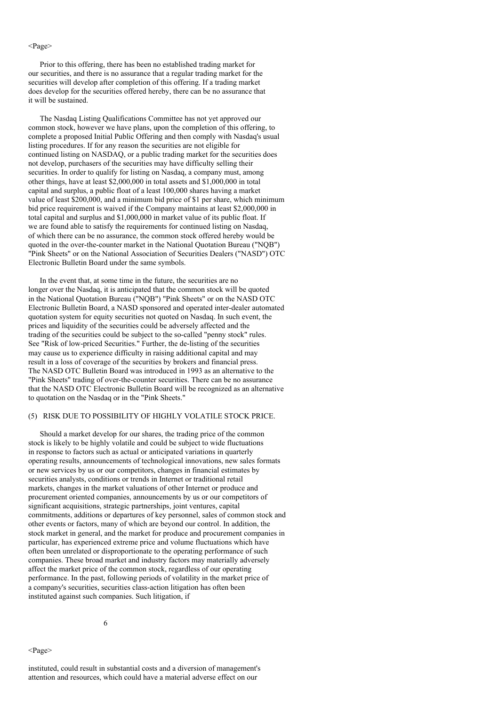#### <Page>

Prior to this offering, there has been no established trading market for our securities, and there is no assurance that a regular trading market for the securities will develop after completion of this offering. If a trading market does develop for the securities offered hereby, there can be no assurance that it will be sustained.

The Nasdaq Listing Qualifications Committee has not yet approved our common stock, however we have plans, upon the completion of this offering, to complete a proposed Initial Public Offering and then comply with Nasdaq's usual listing procedures. If for any reason the securities are not eligible for continued listing on NASDAQ, or a public trading market for the securities does not develop, purchasers of the securities may have difficulty selling their securities. In order to qualify for listing on Nasdaq, a company must, among other things, have at least \$2,000,000 in total assets and \$1,000,000 in total capital and surplus, a public float of a least 100,000 shares having a market value of least \$200,000, and a minimum bid price of \$1 per share, which minimum bid price requirement is waived if the Company maintains at least \$2,000,000 in total capital and surplus and \$1,000,000 in market value of its public float. If we are found able to satisfy the requirements for continued listing on Nasdaq, of which there can be no assurance, the common stock offered hereby would be quoted in the over-the-counter market in the National Quotation Bureau ("NQB") "Pink Sheets" or on the National Association of Securities Dealers ("NASD") OTC Electronic Bulletin Board under the same symbols.

In the event that, at some time in the future, the securities are no longer over the Nasdaq, it is anticipated that the common stock will be quoted in the National Quotation Bureau ("NQB") "Pink Sheets" or on the NASD OTC Electronic Bulletin Board, a NASD sponsored and operated inter-dealer automated quotation system for equity securities not quoted on Nasdaq. In such event, the prices and liquidity of the securities could be adversely affected and the trading of the securities could be subject to the so-called "penny stock" rules. See "Risk of low-priced Securities." Further, the de-listing of the securities may cause us to experience difficulty in raising additional capital and may result in a loss of coverage of the securities by brokers and financial press. The NASD OTC Bulletin Board was introduced in 1993 as an alternative to the "Pink Sheets" trading of over-the-counter securities. There can be no assurance that the NASD OTC Electronic Bulletin Board will be recognized as an alternative to quotation on the Nasdaq or in the "Pink Sheets."

### (5) RISK DUE TO POSSIBILITY OF HIGHLY VOLATILE STOCK PRICE.

Should a market develop for our shares, the trading price of the common stock is likely to be highly volatile and could be subject to wide fluctuations in response to factors such as actual or anticipated variations in quarterly operating results, announcements of technological innovations, new sales formats or new services by us or our competitors, changes in financial estimates by securities analysts, conditions or trends in Internet or traditional retail markets, changes in the market valuations of other Internet or produce and procurement oriented companies, announcements by us or our competitors of significant acquisitions, strategic partnerships, joint ventures, capital commitments, additions or departures of key personnel, sales of common stock and other events or factors, many of which are beyond our control. In addition, the stock market in general, and the market for produce and procurement companies in particular, has experienced extreme price and volume fluctuations which have often been unrelated or disproportionate to the operating performance of such companies. These broad market and industry factors may materially adversely affect the market price of the common stock, regardless of our operating performance. In the past, following periods of volatility in the market price of a company's securities, securities class-action litigation has often been instituted against such companies. Such litigation, if

<Page>

instituted, could result in substantial costs and a diversion of management's attention and resources, which could have a material adverse effect on our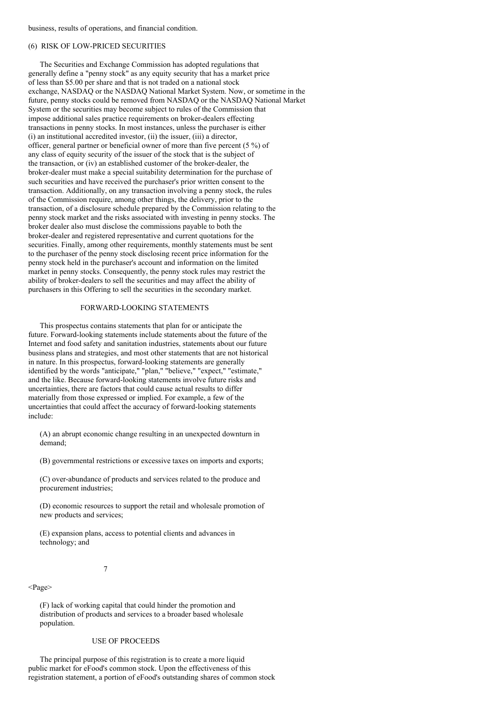business, results of operations, and financial condition.

# (6) RISK OF LOW-PRICED SECURITIES

The Securities and Exchange Commission has adopted regulations that generally define a "penny stock" as any equity security that has a market price of less than \$5.00 per share and that is not traded on a national stock exchange, NASDAQ or the NASDAQ National Market System. Now, or sometime in the future, penny stocks could be removed from NASDAQ or the NASDAQ National Market System or the securities may become subject to rules of the Commission that impose additional sales practice requirements on broker-dealers effecting transactions in penny stocks. In most instances, unless the purchaser is either (i) an institutional accredited investor, (ii) the issuer, (iii) a director, officer, general partner or beneficial owner of more than five percent (5 %) of any class of equity security of the issuer of the stock that is the subject of the transaction, or (iv) an established customer of the broker-dealer, the broker-dealer must make a special suitability determination for the purchase of such securities and have received the purchaser's prior written consent to the transaction. Additionally, on any transaction involving a penny stock, the rules of the Commission require, among other things, the delivery, prior to the transaction, of a disclosure schedule prepared by the Commission relating to the penny stock market and the risks associated with investing in penny stocks. The broker dealer also must disclose the commissions payable to both the broker-dealer and registered representative and current quotations for the securities. Finally, among other requirements, monthly statements must be sent to the purchaser of the penny stock disclosing recent price information for the penny stock held in the purchaser's account and information on the limited market in penny stocks. Consequently, the penny stock rules may restrict the ability of broker-dealers to sell the securities and may affect the ability of purchasers in this Offering to sell the securities in the secondary market.

#### FORWARD-LOOKING STATEMENTS

This prospectus contains statements that plan for or anticipate the future. Forward-looking statements include statements about the future of the Internet and food safety and sanitation industries, statements about our future business plans and strategies, and most other statements that are not historical in nature. In this prospectus, forward-looking statements are generally identified by the words "anticipate," "plan," "believe," "expect," "estimate," and the like. Because forward-looking statements involve future risks and uncertainties, there are factors that could cause actual results to differ materially from those expressed or implied. For example, a few of the uncertainties that could affect the accuracy of forward-looking statements include:

(A) an abrupt economic change resulting in an unexpected downturn in demand;

(B) governmental restrictions or excessive taxes on imports and exports;

(C) over-abundance of products and services related to the produce and procurement industries;

(D) economic resources to support the retail and wholesale promotion of new products and services;

(E) expansion plans, access to potential clients and advances in technology; and

#### 7

<Page>

(F) lack of working capital that could hinder the promotion and distribution of products and services to a broader based wholesale population.

### USE OF PROCEEDS

The principal purpose of this registration is to create a more liquid public market for eFood's common stock. Upon the effectiveness of this registration statement, a portion of eFood's outstanding shares of common stock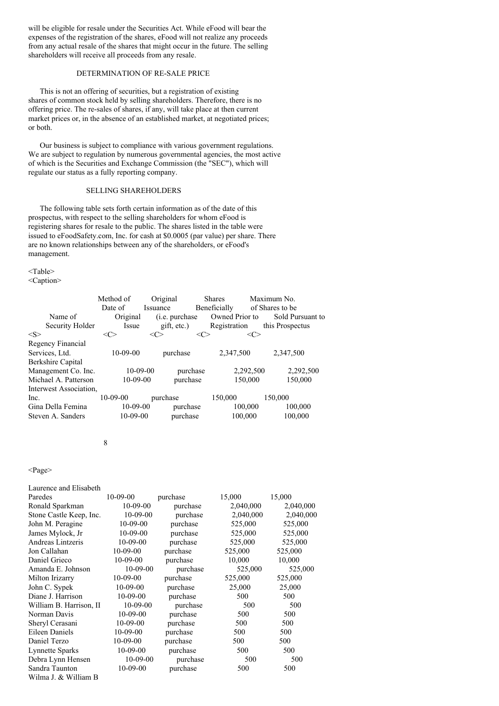will be eligible for resale under the Securities Act. While eFood will bear the expenses of the registration of the shares, eFood will not realize any proceeds from any actual resale of the shares that might occur in the future. The selling shareholders will receive all proceeds from any resale.

# DETERMINATION OF RE-SALE PRICE

This is not an offering of securities, but a registration of existing shares of common stock held by selling shareholders. Therefore, there is no offering price. The re-sales of shares, if any, will take place at then current market prices or, in the absence of an established market, at negotiated prices; or both.

Our business is subject to compliance with various government regulations. We are subject to regulation by numerous governmental agencies, the most active of which is the Securities and Exchange Commission (the "SEC"), which will regulate our status as a fully reporting company.

# SELLING SHAREHOLDERS

The following table sets forth certain information as of the date of this prospectus, with respect to the selling shareholders for whom eFood is registering shares for resale to the public. The shares listed in the table were issued to eFoodSafety.com, Inc. for cash at \$0.0005 (par value) per share. There are no known relationships between any of the shareholders, or eFood's management.

<Table>

<Caption>

|                        | Method of      | Original               | <b>Shares</b>  | Maximum No.            |
|------------------------|----------------|------------------------|----------------|------------------------|
|                        | Date of        | <i>Issuance</i>        | Beneficially   | of Shares to be        |
| Name of                | Original       | ( <i>i.e.</i> purchase | Owned Prior to | Sold Pursuant to       |
| Security Holder        | Issue          | gift, etc.)            | Registration   | this Prospectus        |
| < S >                  | <c></c>        | <c></c>                | <c></c>        | <c></c>                |
| Regency Financial      |                |                        |                |                        |
| Services, Ltd.         | $10-09-00$     | purchase               | 2.347.500      | 2,347,500              |
| Berkshire Capital      |                |                        |                |                        |
| Management Co. Inc.    | $10 - 09 - 00$ |                        | purchase       | 2,292,500<br>2,292,500 |
| Michael A. Patterson   | $10-09-00$     | purchase               |                | 150,000<br>150,000     |
| Interwest Association, |                |                        |                |                        |
| Inc.                   | $10-09-00$     | purchase               | 150,000        | 150,000                |
| Gina Della Femina      | $10-09-00$     | purchase               |                | 100,000<br>100,000     |
| Steven A. Sanders      | $10-09-00$     | purchase               |                | 100,000<br>100,000     |

#### 8

<Page>

| Laurence and Elisabeth  |                |          |           |           |
|-------------------------|----------------|----------|-----------|-----------|
| Paredes                 | $10 - 09 - 00$ | purchase | 15,000    | 15,000    |
| Ronald Sparkman         | $10 - 09 - 00$ | purchase | 2,040,000 | 2,040,000 |
| Stone Castle Keep, Inc. | $10-09-00$     | purchase | 2,040,000 | 2,040,000 |
| John M. Peragine        | $10-09-00$     | purchase | 525,000   | 525,000   |
| James Mylock, Jr        | $10-09-00$     | purchase | 525,000   | 525,000   |
| Andreas Lintzeris       | $10-09-00$     | purchase | 525,000   | 525,000   |
| Jon Callahan            | $10-09-00$     | purchase | 525,000   | 525,000   |
| Daniel Grieco           | $10-09-00$     | purchase | 10,000    | 10,000    |
| Amanda E. Johnson       | $10-09-00$     | purchase | 525,000   | 525,000   |
| Milton Irizarry         | $10-09-00$     | purchase | 525,000   | 525,000   |
| John C. Sypek           | 10-09-00       | purchase | 25,000    | 25,000    |
| Diane J. Harrison       | $10 - 09 - 00$ | purchase | 500       | 500       |
| William B. Harrison, II | $10-09-00$     | purchase | 500       | 500       |
| Norman Davis            | $10-09-00$     | purchase | 500       | 500       |
| Sheryl Cerasani         | $10 - 09 - 00$ | purchase | 500       | 500       |
| <b>Eileen Daniels</b>   | $10-09-00$     | purchase | 500       | 500       |
| Daniel Terzo            | $10-09-00$     | purchase | 500       | 500       |
| Lynnette Sparks         | $10 - 09 - 00$ | purchase | 500       | 500       |
| Debra Lynn Hensen       | $10-09-00$     | purchase | 500       | 500       |
| Sandra Taunton          | $10-09-00$     | purchase | 500       | 500       |
| Wilma J. & William B    |                |          |           |           |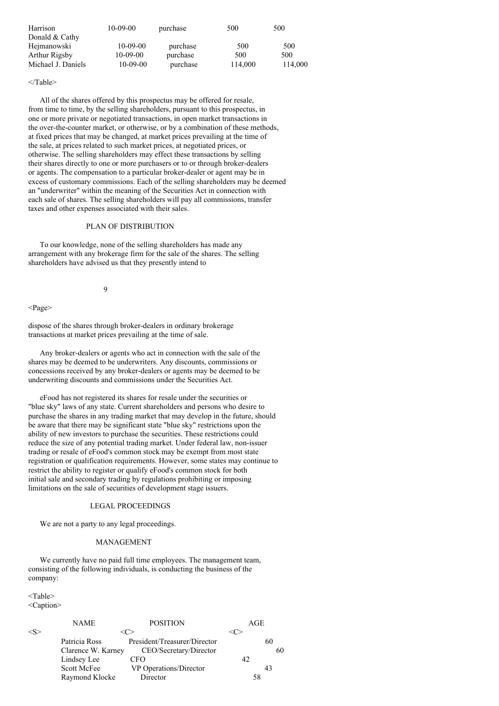| Harrison           | $10-09-00$     | purchase | 500     | 500     |
|--------------------|----------------|----------|---------|---------|
| Donald & Cathy     |                |          |         |         |
| Hejmanowski        | $10-09-00$     | purchase | 500     | 500     |
| Arthur Rigsby      | $10 - 09 - 00$ | purchase | 500     | 500     |
| Michael J. Daniels | $10 - 09 - 00$ | purchase | 114,000 | 114,000 |

#### </Table>

All of the shares offered by this prospectus may be offered for resale, from time to time, by the selling shareholders, pursuant to this prospectus, in one or more private or negotiated transactions, in open market transactions in the over-the-counter market, or otherwise, or by a combination of these methods, at fixed prices that may be changed, at market prices prevailing at the time of the sale, at prices related to such market prices, at negotiated prices, or otherwise. The selling shareholders may effect these transactions by selling their shares directly to one or more purchasers or to or through broker-dealers or agents. The compensation to a particular broker-dealer or agent may be in excess of customary commissions. Each of the selling shareholders may be deemed an "underwriter" within the meaning of the Securities Act in connection with each sale of shares. The selling shareholders will pay all commissions, transfer taxes and other expenses associated with their sales.

# PLAN OF DISTRIBUTION

To our knowledge, none of the selling shareholders has made any arrangement with any brokerage firm for the sale of the shares. The selling shareholders have advised us that they presently intend to

 $\overline{Q}$ 

<Page>

dispose of the shares through broker-dealers in ordinary brokerage transactions at market prices prevailing at the time of sale.

Any broker-dealers or agents who act in connection with the sale of the shares may be deemed to be underwriters. Any discounts, commissions or concessions received by any broker-dealers or agents may be deemed to be underwriting discounts and commissions under the Securities Act.

eFood has not registered its shares for resale under the securities or "blue sky" laws of any state. Current shareholders and persons who desire to purchase the shares in any trading market that may develop in the future, should be aware that there may be significant state "blue sky" restrictions upon the ability of new investors to purchase the securities. These restrictions could reduce the size of any potential trading market. Under federal law, non-issuer trading or resale of eFood's common stock may be exempt from most state registration or qualification requirements. However, some states may continue to restrict the ability to register or qualify eFood's common stock for both initial sale and secondary trading by regulations prohibiting or imposing limitations on the sale of securities of development stage issuers.

### LEGAL PROCEEDINGS

We are not a party to any legal proceedings.

#### MANAGEMENT

We currently have no paid full time employees. The management team, consisting of the following individuals, is conducting the business of the company:

<Table> <Caption>

|               | NAME               | <b>POSITION</b>              | AGE |    |
|---------------|--------------------|------------------------------|-----|----|
| $<\!\!S\!\!>$ |                    |                              |     |    |
|               | Patricia Ross      | President/Treasurer/Director |     | 60 |
|               | Clarence W. Karney | CEO/Secretary/Director       |     | 60 |
|               | Lindsey Lee        | CFO                          | 42. |    |
|               | Scott McFee        | VP Operations/Director       |     | 43 |
|               | Raymond Klocke     | Director                     | 58  |    |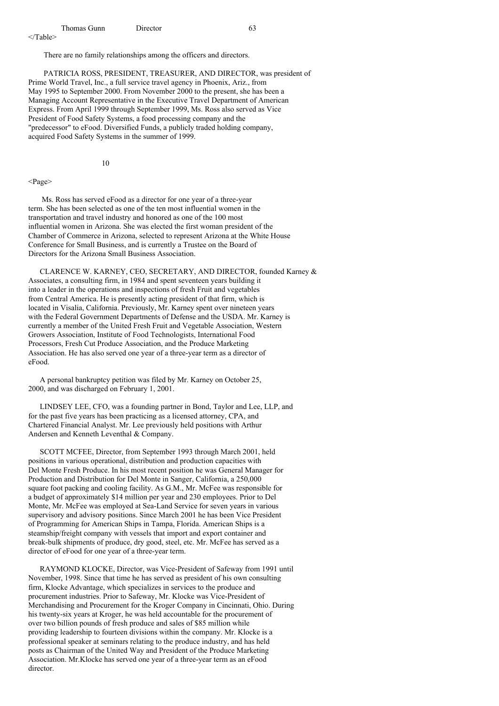There are no family relationships among the officers and directors.

PATRICIA ROSS, PRESIDENT, TREASURER, AND DIRECTOR, was president of Prime World Travel, Inc., a full service travel agency in Phoenix, Ariz., from May 1995 to September 2000. From November 2000 to the present, she has been a Managing Account Representative in the Executive Travel Department of American Express. From April 1999 through September 1999, Ms. Ross also served as Vice President of Food Safety Systems, a food processing company and the "predecessor" to eFood. Diversified Funds, a publicly traded holding company, acquired Food Safety Systems in the summer of 1999.

10

<Page>

Ms. Ross has served eFood as a director for one year of a three-year term. She has been selected as one of the ten most influential women in the transportation and travel industry and honored as one of the 100 most influential women in Arizona. She was elected the first woman president of the Chamber of Commerce in Arizona, selected to represent Arizona at the White House Conference for Small Business, and is currently a Trustee on the Board of Directors for the Arizona Small Business Association.

CLARENCE W. KARNEY, CEO, SECRETARY, AND DIRECTOR, founded Karney & Associates, a consulting firm, in 1984 and spent seventeen years building it into a leader in the operations and inspections of fresh Fruit and vegetables from Central America. He is presently acting president of that firm, which is located in Visalia, California. Previously, Mr. Karney spent over nineteen years with the Federal Government Departments of Defense and the USDA. Mr. Karney is currently a member of the United Fresh Fruit and Vegetable Association, Western Growers Association, Institute of Food Technologists, International Food Processors, Fresh Cut Produce Association, and the Produce Marketing Association. He has also served one year of a three-year term as a director of eFood.

A personal bankruptcy petition was filed by Mr. Karney on October 25, 2000, and was discharged on February 1, 2001.

LINDSEY LEE, CFO, was a founding partner in Bond, Taylor and Lee, LLP, and for the past five years has been practicing as a licensed attorney, CPA, and Chartered Financial Analyst. Mr. Lee previously held positions with Arthur Andersen and Kenneth Leventhal & Company.

SCOTT MCFEE, Director, from September 1993 through March 2001, held positions in various operational, distribution and production capacities with Del Monte Fresh Produce. In his most recent position he was General Manager for Production and Distribution for Del Monte in Sanger, California, a 250,000 square foot packing and cooling facility. As G.M., Mr. McFee was responsible for a budget of approximately \$14 million per year and 230 employees. Prior to Del Monte, Mr. McFee was employed at Sea-Land Service for seven years in various supervisory and advisory positions. Since March 2001 he has been Vice President of Programming for American Ships in Tampa, Florida. American Ships is a steamship/freight company with vessels that import and export container and break-bulk shipments of produce, dry good, steel, etc. Mr. McFee has served as a director of eFood for one year of a three-year term.

RAYMOND KLOCKE, Director, was Vice-President of Safeway from 1991 until November, 1998. Since that time he has served as president of his own consulting firm, Klocke Advantage, which specializes in services to the produce and procurement industries. Prior to Safeway, Mr. Klocke was Vice-President of Merchandising and Procurement for the Kroger Company in Cincinnati, Ohio. During his twenty-six years at Kroger, he was held accountable for the procurement of over two billion pounds of fresh produce and sales of \$85 million while providing leadership to fourteen divisions within the company. Mr. Klocke is a professional speaker at seminars relating to the produce industry, and has held posts as Chairman of the United Way and President of the Produce Marketing Association. Mr.Klocke has served one year of a three-year term as an eFood director.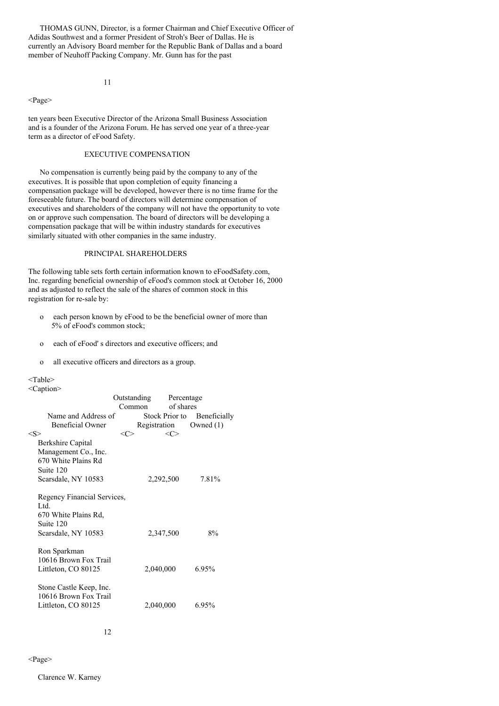THOMAS GUNN, Director, is a former Chairman and Chief Executive Officer of Adidas Southwest and a former President of Stroh's Beer of Dallas. He is currently an Advisory Board member for the Republic Bank of Dallas and a board member of Neuhoff Packing Company. Mr. Gunn has for the past

11

<Page>

ten years been Executive Director of the Arizona Small Business Association and is a founder of the Arizona Forum. He has served one year of a three-year term as a director of eFood Safety.

# EXECUTIVE COMPENSATION

No compensation is currently being paid by the company to any of the executives. It is possible that upon completion of equity financing a compensation package will be developed, however there is no time frame for the foreseeable future. The board of directors will determine compensation of executives and shareholders of the company will not have the opportunity to vote on or approve such compensation. The board of directors will be developing a compensation package that will be within industry standards for executives similarly situated with other companies in the same industry.

# PRINCIPAL SHAREHOLDERS

The following table sets forth certain information known to eFoodSafety.com, Inc. regarding beneficial ownership of eFood's common stock at October 16, 2000 and as adjusted to reflect the sale of the shares of common stock in this registration for re-sale by:

- o each person known by eFood to be the beneficial owner of more than 5% of eFood's common stock;
- o each of eFood' s directors and executive officers; and
- o all executive officers and directors as a group.

#### <Table>

<Caption>

|                             | Outstanding | Percentage          |                        |  |
|-----------------------------|-------------|---------------------|------------------------|--|
|                             | Common      | of shares           |                        |  |
| Name and Address of         |             | Stock Prior to      | Beneficially           |  |
| Beneficial Owner            |             |                     | Registration Owned (1) |  |
| $<\!\!S\!\!>$               | <c></c>     | $\langle C \rangle$ |                        |  |
| Berkshire Capital           |             |                     |                        |  |
| Management Co., Inc.        |             |                     |                        |  |
| 670 White Plains Rd         |             |                     |                        |  |
| Suite 120                   |             |                     |                        |  |
| Scarsdale, NY 10583         |             | 2,292,500           | 7.81%                  |  |
|                             |             |                     |                        |  |
| Regency Financial Services, |             |                     |                        |  |
| Ltd.                        |             |                     |                        |  |
| 670 White Plains Rd,        |             |                     |                        |  |
| Suite 120                   |             |                     |                        |  |
| Scarsdale, NY 10583         |             | 2,347,500           | 8%                     |  |
|                             |             |                     |                        |  |
| Ron Sparkman                |             |                     |                        |  |
| 10616 Brown Fox Trail       |             |                     |                        |  |
| Littleton, CO 80125         |             | 2,040,000           | 6.95%                  |  |
|                             |             |                     |                        |  |
| Stone Castle Keep, Inc.     |             |                     |                        |  |
| 10616 Brown Fox Trail       |             |                     |                        |  |
| Littleton, CO 80125         |             | 2,040,000           | 6.95%                  |  |
|                             |             |                     |                        |  |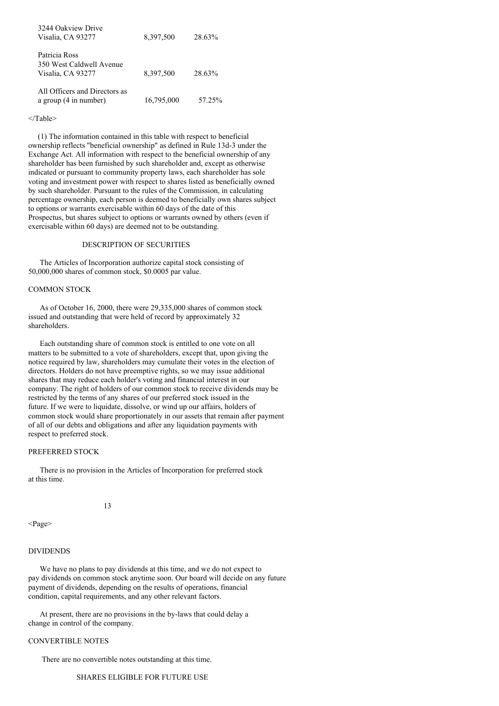| 3244 Oakview Drive<br>Visalia, CA 93277                        | 8,397,500  | 28.63% |
|----------------------------------------------------------------|------------|--------|
| Patricia Ross<br>350 West Caldwell Avenue<br>Visalia, CA 93277 | 8,397,500  | 28.63% |
| All Officers and Directors as<br>a group (4 in number)         | 16,795,000 | 57.25% |

# </Table>

(1) The information contained in this table with respect to beneficial ownership reflects "beneficial ownership" as defined in Rule 13d-3 under the Exchange Act. All information with respect to the beneficial ownership of any shareholder has been furnished by such shareholder and, except as otherwise indicated or pursuant to community property laws, each shareholder has sole voting and investment power with respect to shares listed as beneficially owned by such shareholder. Pursuant to the rules of the Commission, in calculating percentage ownership, each person is deemed to beneficially own shares subject to options or warrants exercisable within 60 days of the date of this Prospectus, but shares subject to options or warrants owned by others (even if exercisable within 60 days) are deemed not to be outstanding.

### DESCRIPTION OF SECURITIES

The Articles of Incorporation authorize capital stock consisting of 50,000,000 shares of common stock, \$0.0005 par value.

# COMMON STOCK

As of October 16, 2000, there were 29,335,000 shares of common stock issued and outstanding that were held of record by approximately 32 shareholders.

Each outstanding share of common stock is entitled to one vote on all matters to be submitted to a vote of shareholders, except that, upon giving the notice required by law, shareholders may cumulate their votes in the election of directors. Holders do not have preemptive rights, so we may issue additional shares that may reduce each holder's voting and financial interest in our company. The right of holders of our common stock to receive dividends may be restricted by the terms of any shares of our preferred stock issued in the future. If we were to liquidate, dissolve, or wind up our affairs, holders of common stock would share proportionately in our assets that remain after payment of all of our debts and obligations and after any liquidation payments with respect to preferred stock.

### PREFERRED STOCK

There is no provision in the Articles of Incorporation for preferred stock at this time.

#### 13

<Page>

#### DIVIDENDS

We have no plans to pay dividends at this time, and we do not expect to pay dividends on common stock anytime soon. Our board will decide on any future payment of dividends, depending on the results of operations, financial condition, capital requirements, and any other relevant factors.

At present, there are no provisions in the by-laws that could delay a change in control of the company.

# CONVERTIBLE NOTES

There are no convertible notes outstanding at this time.

### SHARES ELIGIBLE FOR FUTURE USE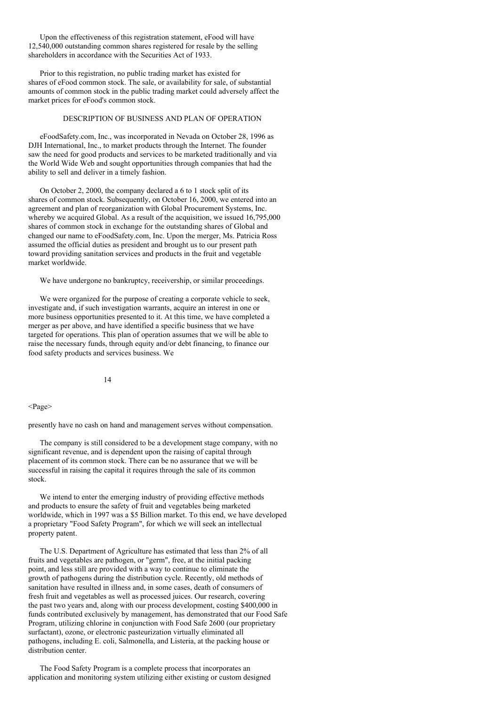Upon the effectiveness of this registration statement, eFood will have 12,540,000 outstanding common shares registered for resale by the selling shareholders in accordance with the Securities Act of 1933.

Prior to this registration, no public trading market has existed for shares of eFood common stock. The sale, or availability for sale, of substantial amounts of common stock in the public trading market could adversely affect the market prices for eFood's common stock.

# DESCRIPTION OF BUSINESS AND PLAN OF OPERATION

eFoodSafety.com, Inc., was incorporated in Nevada on October 28, 1996 as DJH International, Inc., to market products through the Internet. The founder saw the need for good products and services to be marketed traditionally and via the World Wide Web and sought opportunities through companies that had the ability to sell and deliver in a timely fashion.

On October 2, 2000, the company declared a 6 to 1 stock split of its shares of common stock. Subsequently, on October 16, 2000, we entered into an agreement and plan of reorganization with Global Procurement Systems, Inc. whereby we acquired Global. As a result of the acquisition, we issued 16,795,000 shares of common stock in exchange for the outstanding shares of Global and changed our name to eFoodSafety.com, Inc. Upon the merger, Ms. Patricia Ross assumed the official duties as president and brought us to our present path toward providing sanitation services and products in the fruit and vegetable market worldwide.

We have undergone no bankruptcy, receivership, or similar proceedings.

We were organized for the purpose of creating a corporate vehicle to seek, investigate and, if such investigation warrants, acquire an interest in one or more business opportunities presented to it. At this time, we have completed a merger as per above, and have identified a specific business that we have targeted for operations. This plan of operation assumes that we will be able to raise the necessary funds, through equity and/or debt financing, to finance our food safety products and services business. We

14

### <Page>

presently have no cash on hand and management serves without compensation.

The company is still considered to be a development stage company, with no significant revenue, and is dependent upon the raising of capital through placement of its common stock. There can be no assurance that we will be successful in raising the capital it requires through the sale of its common stock.

We intend to enter the emerging industry of providing effective methods and products to ensure the safety of fruit and vegetables being marketed worldwide, which in 1997 was a \$5 Billion market. To this end, we have developed a proprietary "Food Safety Program", for which we will seek an intellectual property patent.

The U.S. Department of Agriculture has estimated that less than 2% of all fruits and vegetables are pathogen, or "germ", free, at the initial packing point, and less still are provided with a way to continue to eliminate the growth of pathogens during the distribution cycle. Recently, old methods of sanitation have resulted in illness and, in some cases, death of consumers of fresh fruit and vegetables as well as processed juices. Our research, covering the past two years and, along with our process development, costing \$400,000 in funds contributed exclusively by management, has demonstrated that our Food Safe Program, utilizing chlorine in conjunction with Food Safe 2600 (our proprietary surfactant), ozone, or electronic pasteurization virtually eliminated all pathogens, including E. coli, Salmonella, and Listeria, at the packing house or distribution center.

The Food Safety Program is a complete process that incorporates an application and monitoring system utilizing either existing or custom designed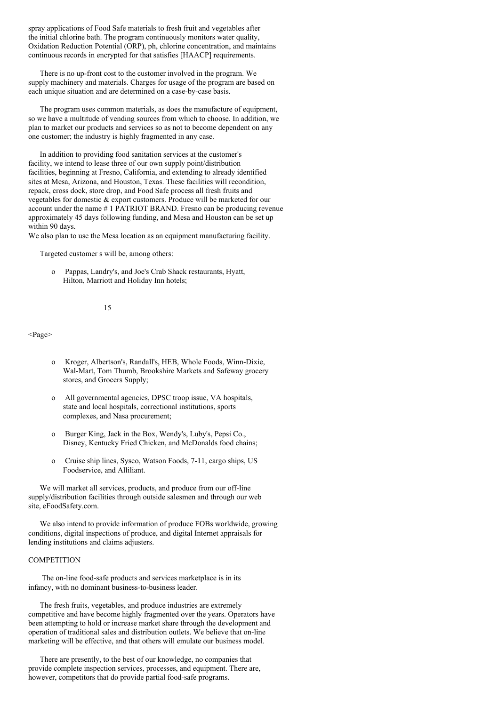spray applications of Food Safe materials to fresh fruit and vegetables after the initial chlorine bath. The program continuously monitors water quality, Oxidation Reduction Potential (ORP), ph, chlorine concentration, and maintains continuous records in encrypted for that satisfies [HAACP] requirements.

There is no up-front cost to the customer involved in the program. We supply machinery and materials. Charges for usage of the program are based on each unique situation and are determined on a case-by-case basis.

The program uses common materials, as does the manufacture of equipment, so we have a multitude of vending sources from which to choose. In addition, we plan to market our products and services so as not to become dependent on any one customer; the industry is highly fragmented in any case.

In addition to providing food sanitation services at the customer's facility, we intend to lease three of our own supply point/distribution facilities, beginning at Fresno, California, and extending to already identified sites at Mesa, Arizona, and Houston, Texas. These facilities will recondition, repack, cross dock, store drop, and Food Safe process all fresh fruits and vegetables for domestic & export customers. Produce will be marketed for our account under the name # 1 PATRIOT BRAND. Fresno can be producing revenue approximately 45 days following funding, and Mesa and Houston can be set up within 90 days.

We also plan to use the Mesa location as an equipment manufacturing facility.

Targeted customer s will be, among others:

o Pappas, Landry's, and Joe's Crab Shack restaurants, Hyatt, Hilton, Marriott and Holiday Inn hotels;

# 15

<Page>

- o Kroger, Albertson's, Randall's, HEB, Whole Foods, Winn-Dixie, Wal-Mart, Tom Thumb, Brookshire Markets and Safeway grocery stores, and Grocers Supply;
- o All governmental agencies, DPSC troop issue, VA hospitals, state and local hospitals, correctional institutions, sports complexes, and Nasa procurement;
- o Burger King, Jack in the Box, Wendy's, Luby's, Pepsi Co., Disney, Kentucky Fried Chicken, and McDonalds food chains;
- o Cruise ship lines, Sysco, Watson Foods, 7-11, cargo ships, US Foodservice, and Alliliant.

We will market all services, products, and produce from our off-line supply/distribution facilities through outside salesmen and through our web site, eFoodSafety.com.

We also intend to provide information of produce FOBs worldwide, growing conditions, digital inspections of produce, and digital Internet appraisals for lending institutions and claims adjusters.

## **COMPETITION**

The on-line food-safe products and services marketplace is in its infancy, with no dominant business-to-business leader.

The fresh fruits, vegetables, and produce industries are extremely competitive and have become highly fragmented over the years. Operators have been attempting to hold or increase market share through the development and operation of traditional sales and distribution outlets. We believe that on-line marketing will be effective, and that others will emulate our business model.

There are presently, to the best of our knowledge, no companies that provide complete inspection services, processes, and equipment. There are, however, competitors that do provide partial food-safe programs.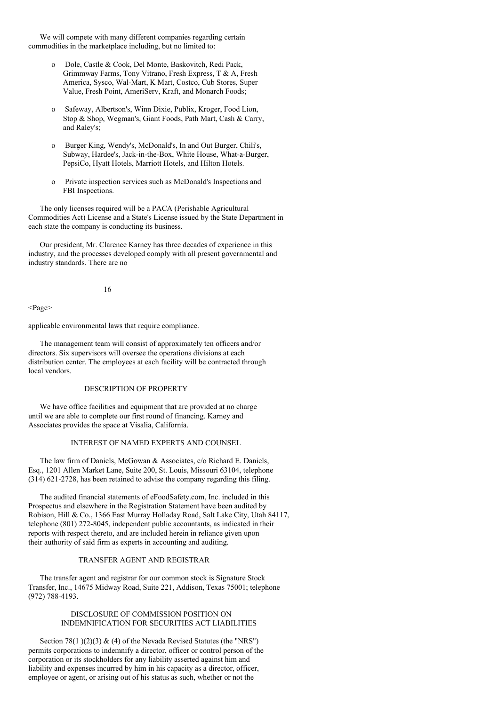We will compete with many different companies regarding certain commodities in the marketplace including, but no limited to:

- o Dole, Castle & Cook, Del Monte, Baskovitch, Redi Pack, Grimmway Farms, Tony Vitrano, Fresh Express, T & A, Fresh America, Sysco, Wal-Mart, K Mart, Costco, Cub Stores, Super Value, Fresh Point, AmeriServ, Kraft, and Monarch Foods;
- o Safeway, Albertson's, Winn Dixie, Publix, Kroger, Food Lion, Stop & Shop, Wegman's, Giant Foods, Path Mart, Cash & Carry, and Raley's;
- o Burger King, Wendy's, McDonald's, In and Out Burger, Chili's, Subway, Hardee's, Jack-in-the-Box, White House, What-a-Burger, PepsiCo, Hyatt Hotels, Marriott Hotels, and Hilton Hotels.
- o Private inspection services such as McDonald's Inspections and FBI Inspections.

The only licenses required will be a PACA (Perishable Agricultural Commodities Act) License and a State's License issued by the State Department in each state the company is conducting its business.

Our president, Mr. Clarence Karney has three decades of experience in this industry, and the processes developed comply with all present governmental and industry standards. There are no

16

<Page>

applicable environmental laws that require compliance.

The management team will consist of approximately ten officers and/or directors. Six supervisors will oversee the operations divisions at each distribution center. The employees at each facility will be contracted through local vendors.

# DESCRIPTION OF PROPERTY

We have office facilities and equipment that are provided at no charge until we are able to complete our first round of financing. Karney and Associates provides the space at Visalia, California.

# INTEREST OF NAMED EXPERTS AND COUNSEL

The law firm of Daniels, McGowan & Associates, c/o Richard E. Daniels, Esq., 1201 Allen Market Lane, Suite 200, St. Louis, Missouri 63104, telephone (314) 621-2728, has been retained to advise the company regarding this filing.

The audited financial statements of eFoodSafety.com, Inc. included in this Prospectus and elsewhere in the Registration Statement have been audited by Robison, Hill & Co., 1366 East Murray Holladay Road, Salt Lake City, Utah 84117, telephone (801) 272-8045, independent public accountants, as indicated in their reports with respect thereto, and are included herein in reliance given upon their authority of said firm as experts in accounting and auditing.

# TRANSFER AGENT AND REGISTRAR

The transfer agent and registrar for our common stock is Signature Stock Transfer, Inc., 14675 Midway Road, Suite 221, Addison, Texas 75001; telephone (972) 788-4193.

### DISCLOSURE OF COMMISSION POSITION ON INDEMNIFICATION FOR SECURITIES ACT LIABILITIES

Section 78(1)(2)(3)  $\&$  (4) of the Nevada Revised Statutes (the "NRS") permits corporations to indemnify a director, officer or control person of the corporation or its stockholders for any liability asserted against him and liability and expenses incurred by him in his capacity as a director, officer, employee or agent, or arising out of his status as such, whether or not the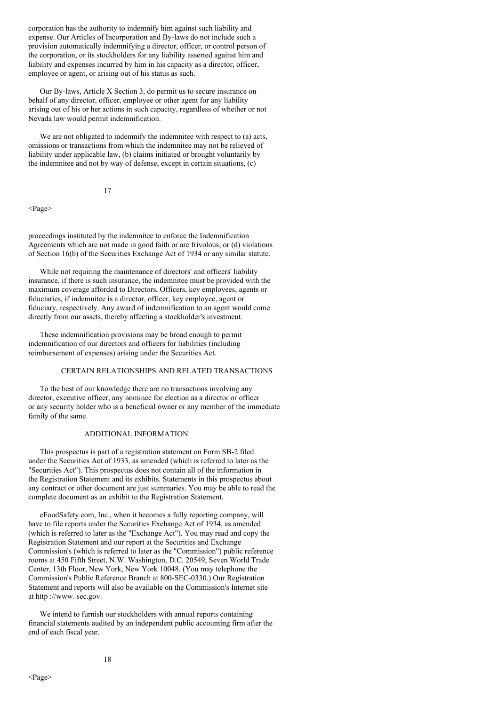corporation has the authority to indemnify him against such liability and expense. Our Articles of Incorporation and By-laws do not include such a provision automatically indemnifying a director, officer, or control person of the corporation, or its stockholders for any liability asserted against him and liability and expenses incurred by him in his capacity as a director, officer, employee or agent, or arising out of his status as such.

Our By-laws, Article X Section 3, do permit us to secure insurance on behalf of any director, officer, employee or other agent for any liability arising out of his or her actions in such capacity, regardless of whether or not Nevada law would permit indemnification.

We are not obligated to indemnify the indemnitee with respect to (a) acts, omissions or transactions from which the indemnitee may not be relieved of liability under applicable law, (b) claims initiated or brought voluntarily by the indemnitee and not by way of defense, except in certain situations, (c)

### 17

<Page>

proceedings instituted by the indemnitee to enforce the Indemnification Agreements which are not made in good faith or are frivolous, or (d) violations of Section 16(b) of the Securities Exchange Act of 1934 or any similar statute.

While not requiring the maintenance of directors' and officers' liability insurance, if there is such insurance, the indemnitee must be provided with the maximum coverage afforded to Directors, Officers, key employees, agents or fiduciaries, if indemnitee is a director, officer, key employee, agent or fiduciary, respectively. Any award of indemnification to an agent would come directly from our assets, thereby affecting a stockholder's investment.

These indemnification provisions may be broad enough to permit indemnification of our directors and officers for liabilities (including reimbursement of expenses) arising under the Securities Act.

# CERTAIN RELATIONSHIPS AND RELATED TRANSACTIONS

To the best of our knowledge there are no transactions involving any director, executive officer, any nominee for election as a director or officer or any security holder who is a beneficial owner or any member of the immediate family of the same.

# ADDITIONAL INFORMATION

This prospectus is part of a registration statement on Form SB-2 filed under the Securities Act of 1933, as amended (which is referred to later as the "Securities Act"). This prospectus does not contain all of the information in the Registration Statement and its exhibits. Statements in this prospectus about any contract or other document are just summaries. You may be able to read the complete document as an exhibit to the Registration Statement.

eFoodSafety.com, Inc., when it becomes a fully reporting company, will have to file reports under the Securities Exchange Act of 1934, as amended (which is referred to later as the "Exchange Act"). You may read and copy the Registration Statement and our report at the Securities and Exchange Commission's (which is referred to later as the "Commission") public reference rooms at 450 Fifth Street, N.W. Washington, D.C. 20549, Seven World Trade Center, 13th Floor, New York, New York 10048. (You may telephone the Commission's Public Reference Branch at 800-SEC-0330.) Our Registration Statement and reports will also be available on the Commission's Internet site at http ://www. sec.gov.

We intend to furnish our stockholders with annual reports containing financial statements audited by an independent public accounting firm after the end of each fiscal year.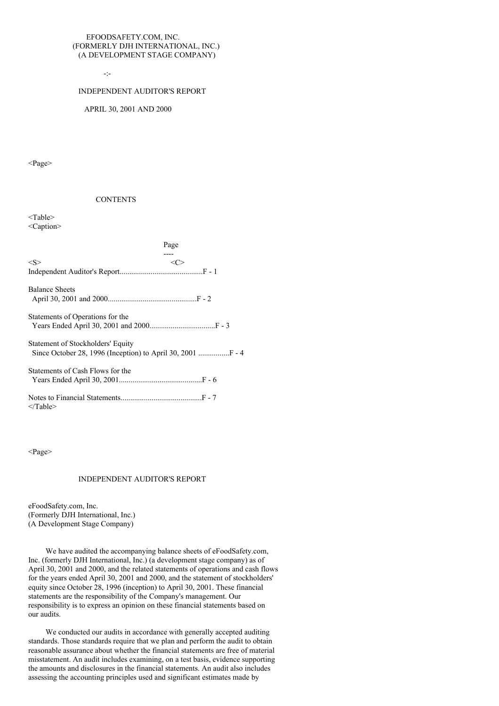## EFOODSAFETY.COM, INC. (FORMERLY DJH INTERNATIONAL, INC.) (A DEVELOPMENT STAGE COMPANY)

-:-

### INDEPENDENT AUDITOR'S REPORT

### APRIL 30, 2001 AND 2000

<Page>

#### **CONTENTS**

<Table> <Caption>

|                                                                                                | Page    |
|------------------------------------------------------------------------------------------------|---------|
| < S >                                                                                          | <c></c> |
| <b>Balance Sheets</b>                                                                          |         |
| Statements of Operations for the                                                               |         |
| Statement of Stockholders' Equity<br>Since October 28, 1996 (Inception) to April 30, 2001  - 4 |         |
| Statements of Cash Flows for the                                                               |         |
| $\langle$ Table>                                                                               |         |

<Page>

### INDEPENDENT AUDITOR'S REPORT

eFoodSafety.com, Inc. (Formerly DJH International, Inc.) (A Development Stage Company)

We have audited the accompanying balance sheets of eFoodSafety.com, Inc. (formerly DJH International, Inc.) (a development stage company) as of April 30, 2001 and 2000, and the related statements of operations and cash flows for the years ended April 30, 2001 and 2000, and the statement of stockholders' equity since October 28, 1996 (inception) to April 30, 2001. These financial statements are the responsibility of the Company's management. Our responsibility is to express an opinion on these financial statements based on our audits.

We conducted our audits in accordance with generally accepted auditing standards. Those standards require that we plan and perform the audit to obtain reasonable assurance about whether the financial statements are free of material misstatement. An audit includes examining, on a test basis, evidence supporting the amounts and disclosures in the financial statements. An audit also includes assessing the accounting principles used and significant estimates made by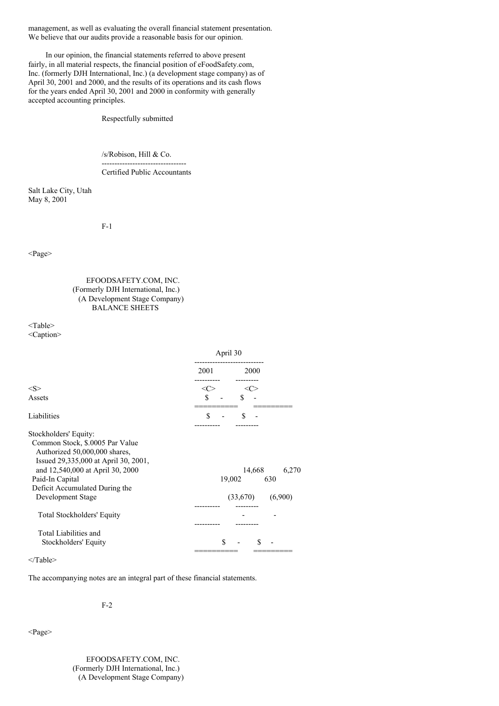management, as well as evaluating the overall financial statement presentation. We believe that our audits provide a reasonable basis for our opinion.

In our opinion, the financial statements referred to above present fairly, in all material respects, the financial position of eFoodSafety.com, Inc. (formerly DJH International, Inc.) (a development stage company) as of April 30, 2001 and 2000, and the results of its operations and its cash flows for the years ended April 30, 2001 and 2000 in conformity with generally accepted accounting principles.

Respectfully submitted

/s/Robison, Hill & Co.

--------------------------------- Certified Public Accountants

Salt Lake City, Utah May 8, 2001

F-1

<Page>

EFOODSAFETY.COM, INC. (Formerly DJH International, Inc.) (A Development Stage Company) BALANCE SHEETS

<Table> <Caption>

|                                                                                                                                                                                                                                                 | April 30      |                    |                     |         |
|-------------------------------------------------------------------------------------------------------------------------------------------------------------------------------------------------------------------------------------------------|---------------|--------------------|---------------------|---------|
|                                                                                                                                                                                                                                                 | 2001          |                    | 2000                |         |
| $<\!\!S\!\!>$                                                                                                                                                                                                                                   | $<\!\!C\!\!>$ |                    | <c></c>             |         |
| Assets                                                                                                                                                                                                                                          | S             | \$                 |                     |         |
| Liabilities                                                                                                                                                                                                                                     | \$            | \$                 |                     |         |
| Stockholders' Equity:<br>Common Stock, \$.0005 Par Value<br>Authorized 50,000,000 shares,<br>Issued 29,335,000 at April 30, 2001,<br>and 12,540,000 at April 30, 2000<br>Paid-In Capital<br>Deficit Accumulated During the<br>Development Stage |               | 19,002<br>(33,670) | 14,668 6,270<br>630 | (6,900) |
| Total Stockholders' Equity                                                                                                                                                                                                                      |               |                    |                     |         |
| Total Liabilities and<br>Stockholders' Equity                                                                                                                                                                                                   |               | \$                 | S                   |         |

<sup>&</sup>lt;/Table>

The accompanying notes are an integral part of these financial statements.

F-2

<Page>

EFOODSAFETY.COM, INC. (Formerly DJH International, Inc.) (A Development Stage Company)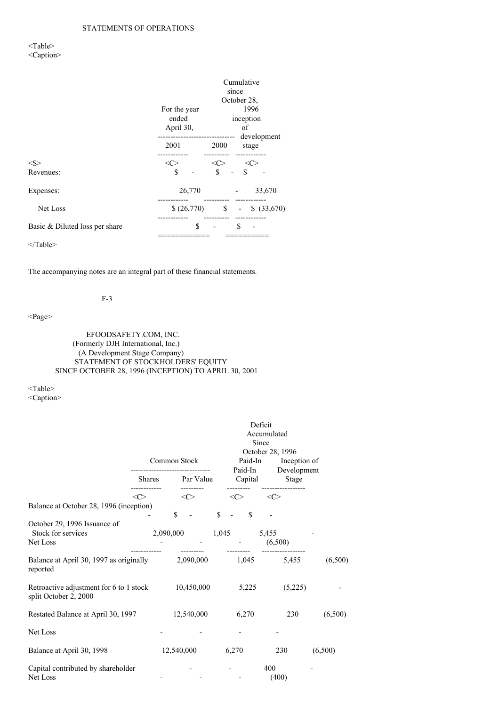# <Table> <Caption>

|                                | Cumulative<br>since                |                                        |  |  |  |
|--------------------------------|------------------------------------|----------------------------------------|--|--|--|
|                                |                                    | October 28,                            |  |  |  |
|                                | For the year<br>ended<br>April 30, | 1996<br>inception<br>οf<br>development |  |  |  |
|                                | 2001                               | 2000<br>stage                          |  |  |  |
| <s></s>                        | $\langle C \rangle$                | $<\!\!C\!\!>$<br>$<\infty$             |  |  |  |
| Revenues:                      | \$                                 | \$<br>\$                               |  |  |  |
| Expenses:                      | 26,770                             | 33,670                                 |  |  |  |
| Net Loss                       | \$ (26,770)                        | \$<br>\$ (33,670)<br>-                 |  |  |  |
| Basic & Diluted loss per share | \$                                 | S                                      |  |  |  |
|                                |                                    |                                        |  |  |  |

</Table>

The accompanying notes are an integral part of these financial statements.

# F-3

# <Page>

EFOODSAFETY.COM, INC. (Formerly DJH International, Inc.) (A Development Stage Company) STATEMENT OF STOCKHOLDERS' EQUITY SINCE OCTOBER 28, 1996 (INCEPTION) TO APRIL 30, 2001

<Table>

<Caption>

|                                                                             | Common Stock |           |                  | Deficit<br>Accumulated<br>Since<br>October 28, 1996<br>Paid-In<br>Paid-In |              |         | Development | Inception of |             |  |         |
|-----------------------------------------------------------------------------|--------------|-----------|------------------|---------------------------------------------------------------------------|--------------|---------|-------------|--------------|-------------|--|---------|
|                                                                             |              |           | Shares Par Value |                                                                           |              | Capital |             |              | Stage       |  |         |
|                                                                             | <<>          |           |                  | <<>                                                                       |              | <<>     |             | $<\infty$    |             |  |         |
| Balance at October 28, 1996 (inception)                                     |              |           | S.               | $\sim$                                                                    | $\mathbb{S}$ |         | $\mathbf S$ |              |             |  |         |
| October 29, 1996 Issuance of<br>Stock for services<br>Net Loss              |              | 2,090,000 |                  |                                                                           |              | 1,045   |             | 5,455        | (6,500)     |  |         |
| Balance at April 30, 1997 as originally 2,090,000<br>reported               |              |           |                  |                                                                           |              |         |             |              | 1,045 5,455 |  | (6,500) |
| Retroactive adjustment for 6 to 1 stock 10,450,000<br>split October 2, 2000 |              |           |                  |                                                                           |              |         | 5,225       |              | (5,225)     |  |         |
| Restated Balance at April 30, 1997                                          |              |           |                  | 12,540,000                                                                |              |         | 6,270       |              | 230         |  | (6,500) |
| Net Loss                                                                    |              |           |                  |                                                                           |              |         |             |              |             |  |         |
| Balance at April 30, 1998                                                   |              |           |                  | 12,540,000                                                                |              | 6,270   |             |              | 230         |  | (6,500) |
| Capital contributed by shareholder<br>Net Loss                              |              |           |                  |                                                                           |              |         |             | 400          | (400)       |  |         |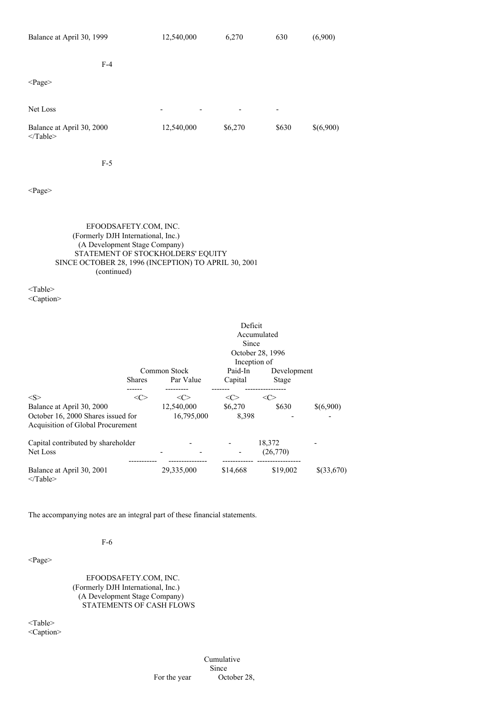| Balance at April 30, 1999               | 12,540,000                                           | 6,270   | 630                      | (6,900)   |
|-----------------------------------------|------------------------------------------------------|---------|--------------------------|-----------|
| $F-4$                                   |                                                      |         |                          |           |
| $\langle \text{Page} \rangle$           |                                                      |         |                          |           |
| Net Loss                                | $\overline{\phantom{0}}$<br>$\overline{\phantom{0}}$ | ٠       | $\overline{\phantom{a}}$ |           |
| Balance at April 30, 2000<br>$<$ Table> | 12,540,000                                           | \$6,270 | \$630                    | \$(6,900) |

F-5

<Page>

# EFOODSAFETY.COM, INC. (Formerly DJH International, Inc.) (A Development Stage Company) STATEMENT OF STOCKHOLDERS' EQUITY SINCE OCTOBER 28, 1996 (INCEPTION) TO APRIL 30, 2001 (continued)

<Table> <Caption>

|                                    |               |              | Deficit  |                  |            |  |  |
|------------------------------------|---------------|--------------|----------|------------------|------------|--|--|
|                                    |               | Accumulated  |          |                  |            |  |  |
|                                    |               |              | Since    |                  |            |  |  |
|                                    |               |              |          | October 28, 1996 |            |  |  |
|                                    |               | Inception of |          |                  |            |  |  |
|                                    |               | Common Stock | Paid-In  | Development      |            |  |  |
|                                    | <b>Shares</b> | Par Value    | Capital  | Stage            |            |  |  |
|                                    |               |              |          |                  |            |  |  |
| < S >                              | $<\infty$     | <c></c>      | <c></c>  | <c></c>          |            |  |  |
| Balance at April 30, 2000          |               | 12,540,000   | \$6,270  | \$630            | \$(6,900)  |  |  |
| October 16, 2000 Shares issued for |               | 16,795,000   | 8,398    |                  |            |  |  |
| Acquisition of Global Procurement  |               |              |          |                  |            |  |  |
| Capital contributed by shareholder |               |              |          | 18,372           |            |  |  |
| Net Loss                           |               |              |          | (26,770)         |            |  |  |
| Balance at April 30, 2001          |               | 29,335,000   | \$14,668 | \$19,002         | \$(33,670) |  |  |
| $<$ Table>                         |               |              |          |                  |            |  |  |

The accompanying notes are an integral part of these financial statements.

### F-6

<Page>

EFOODSAFETY.COM, INC. (Formerly DJH International, Inc.) (A Development Stage Company) STATEMENTS OF CASH FLOWS

<Table> <Caption>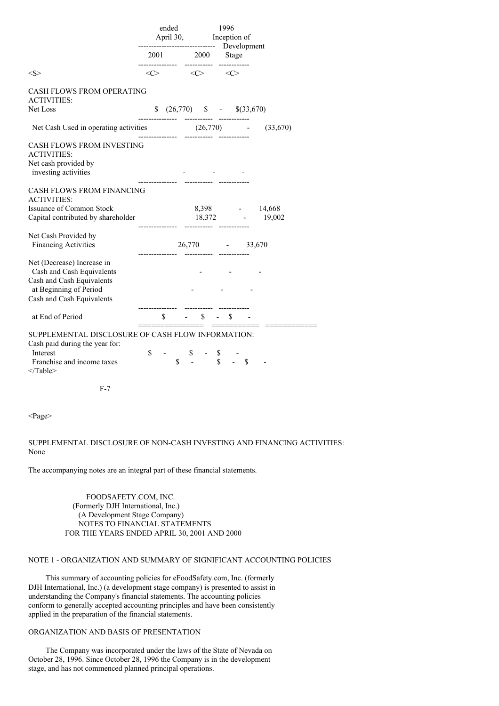|                                                                                                                                             |                | ended<br>April 30, Inception of<br>------------------------------ Development               |              | 1996         |        |                                                                   |
|---------------------------------------------------------------------------------------------------------------------------------------------|----------------|---------------------------------------------------------------------------------------------|--------------|--------------|--------|-------------------------------------------------------------------|
|                                                                                                                                             |                | 2001 2000<br>------------ ---------- -----------                                            |              |              | Stage  |                                                                   |
| $<\!\!S\!\!>$                                                                                                                               |                | $\langle C \rangle$ $\langle C \rangle$                                                     |              | <<>          |        |                                                                   |
| <b>CASH FLOWS FROM OPERATING</b><br><b>ACTIVITIES:</b><br>Net Loss                                                                          |                | $$ (26,770) $ - $ (33,670)$                                                                 |              |              |        |                                                                   |
| Net Cash Used in operating activities (26,770) -                                                                                            |                |                                                                                             |              |              |        | (33,670)                                                          |
| <b>CASH FLOWS FROM INVESTING</b><br><b>ACTIVITIES:</b><br>Net cash provided by<br>investing activities                                      | -------------- |                                                                                             |              |              |        |                                                                   |
| CASH FLOWS FROM FINANCING<br><b>ACTIVITIES:</b>                                                                                             |                |                                                                                             |              |              |        |                                                                   |
| <b>Issuance of Common Stock</b><br>Capital contributed by shareholder                                                                       |                |                                                                                             |              |              |        | 8,398 - 14,668<br>$18,372$ - $19,002$<br>----------- ------------ |
| Net Cash Provided by<br><b>Financing Activities</b>                                                                                         |                |                                                                                             |              |              |        | 26,770 - 33,670                                                   |
| Net (Decrease) Increase in<br>Cash and Cash Equivalents<br>Cash and Cash Equivalents<br>at Beginning of Period<br>Cash and Cash Equivalents |                |                                                                                             |              |              |        |                                                                   |
| at End of Period                                                                                                                            |                | \$                                                                                          | $\mathbb{S}$ | $\mathbb{S}$ |        |                                                                   |
| SUPPLEMENTAL DISCLOSURE OF CASH FLOW INFORMATION:<br>Cash paid during the year for:<br>Interest<br>Franchise and income taxes<br>$<$ Table> | \$             | $\begin{array}{cccc}\n & \text{S} & - & \text{S} \\ & \text{S} & - & \text{S}\n\end{array}$ |              |              | $-$ \$ |                                                                   |
| $F-7$                                                                                                                                       |                |                                                                                             |              |              |        |                                                                   |

<Page>

SUPPLEMENTAL DISCLOSURE OF NON-CASH INVESTING AND FINANCING ACTIVITIES: None

The accompanying notes are an integral part of these financial statements.

FOODSAFETY.COM, INC. (Formerly DJH International, Inc.) (A Development Stage Company) NOTES TO FINANCIAL STATEMENTS FOR THE YEARS ENDED APRIL 30, 2001 AND 2000

# NOTE 1 - ORGANIZATION AND SUMMARY OF SIGNIFICANT ACCOUNTING POLICIES

This summary of accounting policies for eFoodSafety.com, Inc. (formerly DJH International, Inc.) (a development stage company) is presented to assist in understanding the Company's financial statements. The accounting policies conform to generally accepted accounting principles and have been consistently applied in the preparation of the financial statements.

# ORGANIZATION AND BASIS OF PRESENTATION

The Company was incorporated under the laws of the State of Nevada on October 28, 1996. Since October 28, 1996 the Company is in the development stage, and has not commenced planned principal operations.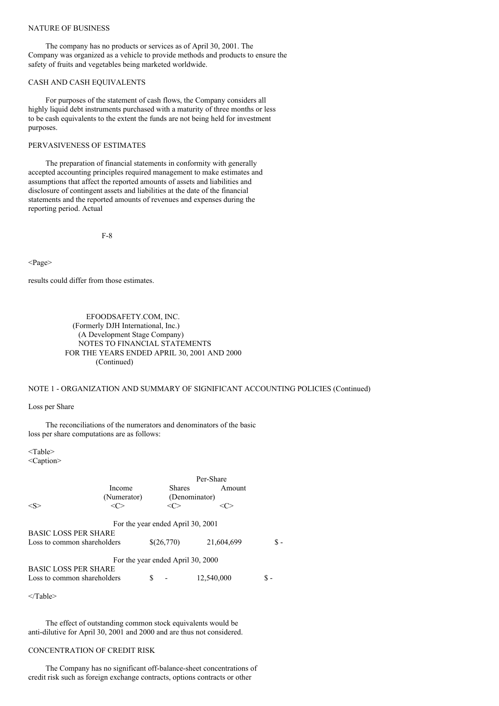### NATURE OF BUSINESS

The company has no products or services as of April 30, 2001. The Company was organized as a vehicle to provide methods and products to ensure the safety of fruits and vegetables being marketed worldwide.

### CASH AND CASH EQUIVALENTS

For purposes of the statement of cash flows, the Company considers all highly liquid debt instruments purchased with a maturity of three months or less to be cash equivalents to the extent the funds are not being held for investment purposes.

# PERVASIVENESS OF ESTIMATES

The preparation of financial statements in conformity with generally accepted accounting principles required management to make estimates and assumptions that affect the reported amounts of assets and liabilities and disclosure of contingent assets and liabilities at the date of the financial statements and the reported amounts of revenues and expenses during the reporting period. Actual

F-8

<Page>

results could differ from those estimates.

EFOODSAFETY.COM, INC. (Formerly DJH International, Inc.) (A Development Stage Company) NOTES TO FINANCIAL STATEMENTS FOR THE YEARS ENDED APRIL 30, 2001 AND 2000 (Continued)

# NOTE 1 - ORGANIZATION AND SUMMARY OF SIGNIFICANT ACCOUNTING POLICIES (Continued)

Loss per Share

The reconciliations of the numerators and denominators of the basic loss per share computations are as follows:

<Table> <Caption>

|                                                            |                                   |   |               | Per-Share     |            |      |
|------------------------------------------------------------|-----------------------------------|---|---------------|---------------|------------|------|
|                                                            | Income                            |   | <b>Shares</b> |               | Amount     |      |
|                                                            | (Numerator)                       |   |               | (Denominator) |            |      |
| $<\!\!S\!\!>$                                              | <∩∽                               |   |               |               |            |      |
| <b>BASIC LOSS PER SHARE</b><br>Loss to common shareholders | For the year ended April 30, 2001 |   | \$(26,770)    |               | 21,604,699 | \$ - |
|                                                            | For the year ended April 30, 2000 |   |               |               |            |      |
| <b>BASIC LOSS PER SHARE</b><br>Loss to common shareholders |                                   | S |               | 12,540,000    |            | \$ - |

</Table>

The effect of outstanding common stock equivalents would be anti-dilutive for April 30, 2001 and 2000 and are thus not considered.

# CONCENTRATION OF CREDIT RISK

The Company has no significant off-balance-sheet concentrations of credit risk such as foreign exchange contracts, options contracts or other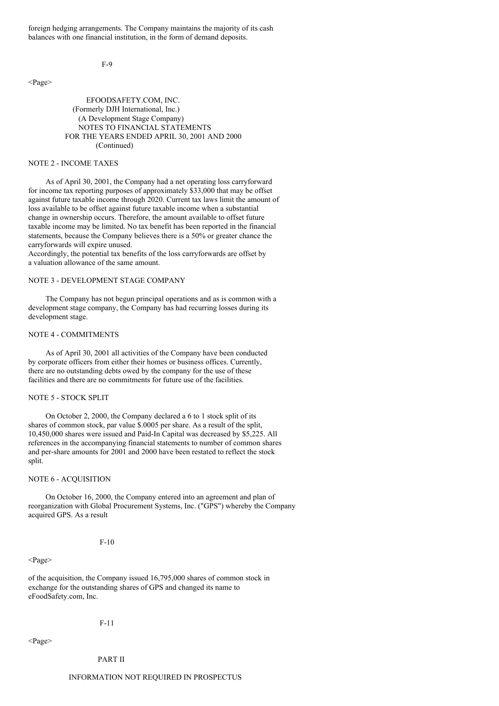foreign hedging arrangements. The Company maintains the majority of its cash balances with one financial institution, in the form of demand deposits.

 $F_0$ 

<Page>

## EFOODSAFETY.COM, INC. (Formerly DJH International, Inc.) (A Development Stage Company) NOTES TO FINANCIAL STATEMENTS FOR THE YEARS ENDED APRIL 30, 2001 AND 2000 (Continued)

# NOTE 2 - INCOME TAXES

As of April 30, 2001, the Company had a net operating loss carryforward for income tax reporting purposes of approximately \$33,000 that may be offset against future taxable income through 2020. Current tax laws limit the amount of loss available to be offset against future taxable income when a substantial change in ownership occurs. Therefore, the amount available to offset future taxable income may be limited. No tax benefit has been reported in the financial statements, because the Company believes there is a 50% or greater chance the carryforwards will expire unused.

Accordingly, the potential tax benefits of the loss carryforwards are offset by a valuation allowance of the same amount.

# NOTE 3 - DEVELOPMENT STAGE COMPANY

The Company has not begun principal operations and as is common with a development stage company, the Company has had recurring losses during its development stage.

### NOTE 4 - COMMITMENTS

As of April 30, 2001 all activities of the Company have been conducted by corporate officers from either their homes or business offices. Currently, there are no outstanding debts owed by the company for the use of these facilities and there are no commitments for future use of the facilities.

#### NOTE 5 - STOCK SPLIT

On October 2, 2000, the Company declared a 6 to 1 stock split of its shares of common stock, par value \$.0005 per share. As a result of the split, 10,450,000 shares were issued and Paid-In Capital was decreased by \$5,225. All references in the accompanying financial statements to number of common shares and per-share amounts for 2001 and 2000 have been restated to reflect the stock split.

#### NOTE 6 - ACQUISITION

On October 16, 2000, the Company entered into an agreement and plan of reorganization with Global Procurement Systems, Inc. ("GPS") whereby the Company acquired GPS. As a result

### F-10

#### <Page>

of the acquisition, the Company issued 16,795,000 shares of common stock in exchange for the outstanding shares of GPS and changed its name to eFoodSafety.com, Inc.

#### F-11

<Page>

#### PART II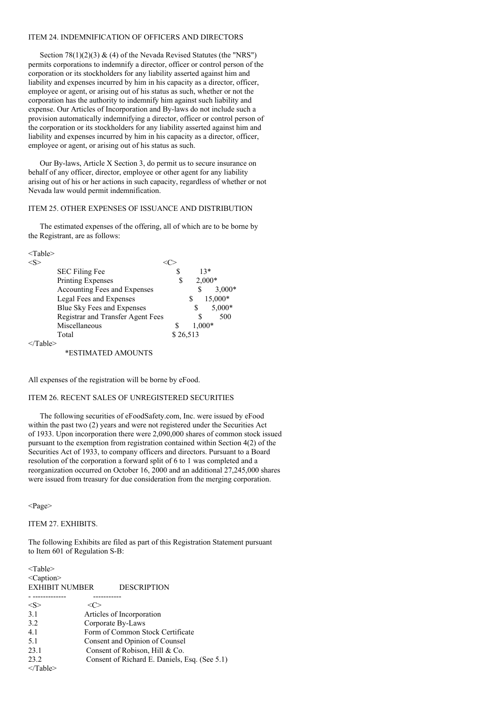### ITEM 24. INDEMNIFICATION OF OFFICERS AND DIRECTORS

Section  $78(1)(2)(3)$  & (4) of the Nevada Revised Statutes (the "NRS") permits corporations to indemnify a director, officer or control person of the corporation or its stockholders for any liability asserted against him and liability and expenses incurred by him in his capacity as a director, officer, employee or agent, or arising out of his status as such, whether or not the corporation has the authority to indemnify him against such liability and expense. Our Articles of Incorporation and By-laws do not include such a provision automatically indemnifying a director, officer or control person of the corporation or its stockholders for any liability asserted against him and liability and expenses incurred by him in his capacity as a director, officer, employee or agent, or arising out of his status as such.

Our By-laws, Article X Section 3, do permit us to secure insurance on behalf of any officer, director, employee or other agent for any liability arising out of his or her actions in such capacity, regardless of whether or not Nevada law would permit indemnification.

# ITEM 25. OTHER EXPENSES OF ISSUANCE AND DISTRIBUTION

The estimated expenses of the offering, all of which are to be borne by the Registrant, are as follows:

<Table>

|  | <b>SEC Filing Fee</b>             |          | $13*$  |          |
|--|-----------------------------------|----------|--------|----------|
|  | <b>Printing Expenses</b>          | S        |        | $2,000*$ |
|  | Accounting Fees and Expenses      |          |        | $3,000*$ |
|  | Legal Fees and Expenses           |          | \$     | 15,000*  |
|  | Blue Sky Fees and Expenses        |          | S      | 5,000*   |
|  | Registrar and Transfer Agent Fees |          |        | 500      |
|  | Miscellaneous                     |          | 1,000* |          |
|  | Total                             | \$26,513 |        |          |
|  |                                   |          |        |          |

  |  |  |  ||  | \*ESTIMATED AMOUNTS |  |  |  |
All expenses of the registration will be borne by eFood.

### ITEM 26. RECENT SALES OF UNREGISTERED SECURITIES

The following securities of eFoodSafety.com, Inc. were issued by eFood within the past two (2) years and were not registered under the Securities Act of 1933. Upon incorporation there were 2,090,000 shares of common stock issued pursuant to the exemption from registration contained within Section 4(2) of the Securities Act of 1933, to company officers and directors. Pursuant to a Board resolution of the corporation a forward split of 6 to 1 was completed and a reorganization occurred on October 16, 2000 and an additional 27,245,000 shares were issued from treasury for due consideration from the merging corporation.

<Page>

### ITEM 27. EXHIBITS.

The following Exhibits are filed as part of this Registration Statement pursuant to Item 601 of Regulation S-B:

| $<$ Table $>$         |                   |                                               |
|-----------------------|-------------------|-----------------------------------------------|
| $\leq$ Caption $\geq$ |                   |                                               |
| <b>EXHIBIT NUMBER</b> |                   | <b>DESCRIPTION</b>                            |
|                       |                   |                                               |
| $<\!\!S\!\!>$         |                   |                                               |
| 3.1                   |                   | Articles of Incorporation                     |
| 3.2                   | Corporate By-Laws |                                               |
| 4.1                   |                   | Form of Common Stock Certificate              |
| 5.1                   |                   | Consent and Opinion of Counsel                |
| 23.1                  |                   | Consent of Robison, Hill & Co.                |
| 23.2                  |                   | Consent of Richard E. Daniels, Esq. (See 5.1) |
| $\langle$ Table>      |                   |                                               |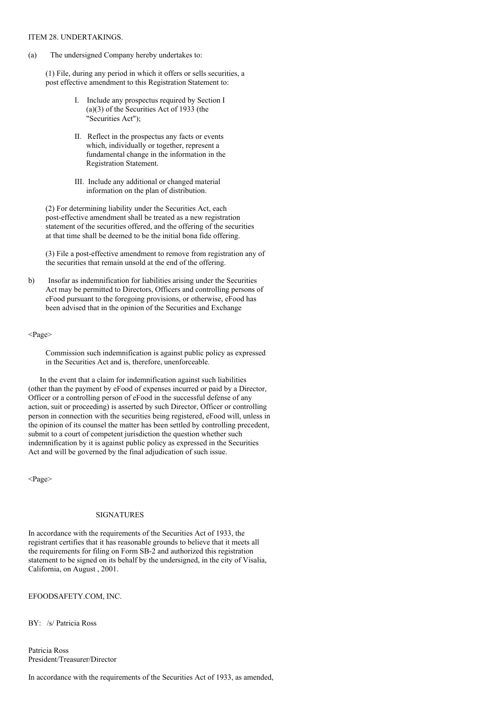### ITEM 28. UNDERTAKINGS.

(a) The undersigned Company hereby undertakes to:

(1) File, during any period in which it offers or sells securities, a post effective amendment to this Registration Statement to:

- I. Include any prospectus required by Section I (a)(3) of the Securities Act of 1933 (the "Securities Act");
- II. Reflect in the prospectus any facts or events which, individually or together, represent a fundamental change in the information in the Registration Statement.
- III. Include any additional or changed material information on the plan of distribution.

(2) For determining liability under the Securities Act, each post-effective amendment shall be treated as a new registration statement of the securities offered, and the offering of the securities at that time shall be deemed to be the initial bona fide offering.

(3) File a post-effective amendment to remove from registration any of the securities that remain unsold at the end of the offering.

b) Insofar as indemnification for liabilities arising under the Securities Act may be permitted to Directors, Officers and controlling persons of eFood pursuant to the foregoing provisions, or otherwise, eFood has been advised that in the opinion of the Securities and Exchange

#### <Page>

Commission such indemnification is against public policy as expressed in the Securities Act and is, therefore, unenforceable.

In the event that a claim for indemnification against such liabilities (other than the payment by eFood of expenses incurred or paid by a Director, Officer or a controlling person of eFood in the successful defense of any action, suit or proceeding) is asserted by such Director, Officer or controlling person in connection with the securities being registered, eFood will, unless in the opinion of its counsel the matter has been settled by controlling precedent, submit to a court of competent jurisdiction the question whether such indemnification by it is against public policy as expressed in the Securities Act and will be governed by the final adjudication of such issue.

<Page>

# SIGNATURES

In accordance with the requirements of the Securities Act of 1933, the registrant certifies that it has reasonable grounds to believe that it meets all the requirements for filing on Form SB-2 and authorized this registration statement to be signed on its behalf by the undersigned, in the city of Visalia, California, on August , 2001.

EFOODSAFETY.COM, INC.

BY: /s/ Patricia Ross

Patricia Ross President/Treasurer/Director

In accordance with the requirements of the Securities Act of 1933, as amended,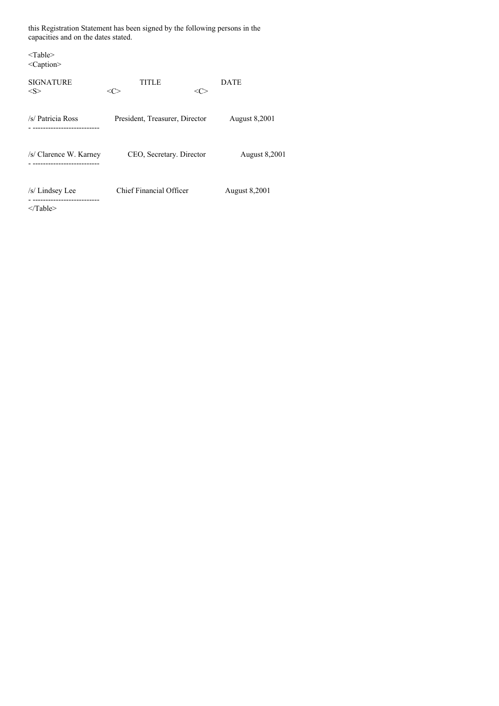this Registration Statement has been signed by the following persons in the capacities and on the dates stated.

| $<$ Table $>$<br>$<$ Caption $>$                              |                                          |                      |
|---------------------------------------------------------------|------------------------------------------|----------------------|
| <b>SIGNATURE</b><br>$<\ge$                                    | <b>TITLE</b><br>$<\!\!C\!\!>$<br><c></c> | <b>DATE</b>          |
| /s/ Patricia Ross<br>----------------------                   | President, Treasurer, Director           | <b>August 8,2001</b> |
| /s/ Clarence W. Karney                                        | CEO, Secretary. Director                 | <b>August 8,2001</b> |
| /s/ Lindsey Lee<br>----------------------<br>$\langle$ Table> | <b>Chief Financial Officer</b>           | <b>August 8,2001</b> |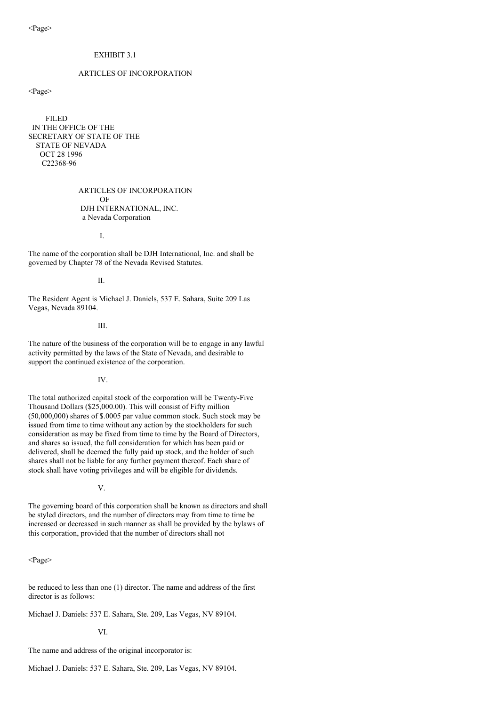# EXHIBIT 3.1

# ARTICLES OF INCORPORATION

<Page>

FILED IN THE OFFICE OF THE SECRETARY OF STATE OF THE STATE OF NEVADA OCT 28 1996 C22368-96

> ARTICLES OF INCORPORATION OF DJH INTERNATIONAL, INC. a Nevada Corporation

> > I.

The name of the corporation shall be DJH International, Inc. and shall be governed by Chapter 78 of the Nevada Revised Statutes.

II.

The Resident Agent is Michael J. Daniels, 537 E. Sahara, Suite 209 Las Vegas, Nevada 89104.

III.

The nature of the business of the corporation will be to engage in any lawful activity permitted by the laws of the State of Nevada, and desirable to support the continued existence of the corporation.

IV.

The total authorized capital stock of the corporation will be Twenty-Five Thousand Dollars (\$25,000.00). This will consist of Fifty million (50,000,000) shares of \$.0005 par value common stock. Such stock may be issued from time to time without any action by the stockholders for such consideration as may be fixed from time to time by the Board of Directors, and shares so issued, the full consideration for which has been paid or delivered, shall be deemed the fully paid up stock, and the holder of such shares shall not be liable for any further payment thereof. Each share of stock shall have voting privileges and will be eligible for dividends.

V.

The governing board of this corporation shall be known as directors and shall be styled directors, and the number of directors may from time to time be increased or decreased in such manner as shall be provided by the bylaws of this corporation, provided that the number of directors shall not

<Page>

be reduced to less than one (1) director. The name and address of the first director is as follows:

Michael J. Daniels: 537 E. Sahara, Ste. 209, Las Vegas, NV 89104.

VI.

The name and address of the original incorporator is:

Michael J. Daniels: 537 E. Sahara, Ste. 209, Las Vegas, NV 89104.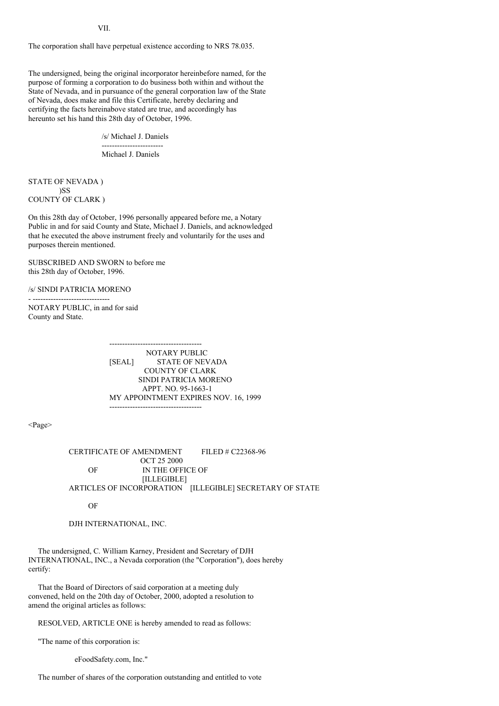VII.

The corporation shall have perpetual existence according to NRS 78.035.

The undersigned, being the original incorporator hereinbefore named, for the purpose of forming a corporation to do business both within and without the State of Nevada, and in pursuance of the general corporation law of the State of Nevada, does make and file this Certificate, hereby declaring and certifying the facts hereinabove stated are true, and accordingly has hereunto set his hand this 28th day of October, 1996.

/s/ Michael J. Daniels

------------------------ Michael J. Daniels

STATE OF NEVADA ) )SS COUNTY OF CLARK )

On this 28th day of October, 1996 personally appeared before me, a Notary Public in and for said County and State, Michael J. Daniels, and acknowledged that he executed the above instrument freely and voluntarily for the uses and purposes therein mentioned.

SUBSCRIBED AND SWORN to before me this 28th day of October, 1996.

/s/ SINDI PATRICIA MORENO

- ------------------------------

NOTARY PUBLIC, in and for said County and State.

> ------------------------------------ NOTARY PUBLIC [SEAL] STATE OF NEVADA COUNTY OF CLARK SINDI PATRICIA MORENO APPT. NO. 95-1663-1 MY APPOINTMENT EXPIRES NOV. 16, 1999 ------------------------------------

<Page>

CERTIFICATE OF AMENDMENT FILED # C22368-96 OCT 25 2000 OF IN THE OFFICE OF [ILLEGIBLE] ARTICLES OF INCORPORATION [ILLEGIBLE] SECRETARY OF STATE

OF

DJH INTERNATIONAL, INC.

The undersigned, C. William Karney, President and Secretary of DJH INTERNATIONAL, INC., a Nevada corporation (the "Corporation"), does hereby certify:

That the Board of Directors of said corporation at a meeting duly convened, held on the 20th day of October, 2000, adopted a resolution to amend the original articles as follows:

RESOLVED, ARTICLE ONE is hereby amended to read as follows:

"The name of this corporation is:

eFoodSafety.com, Inc."

The number of shares of the corporation outstanding and entitled to vote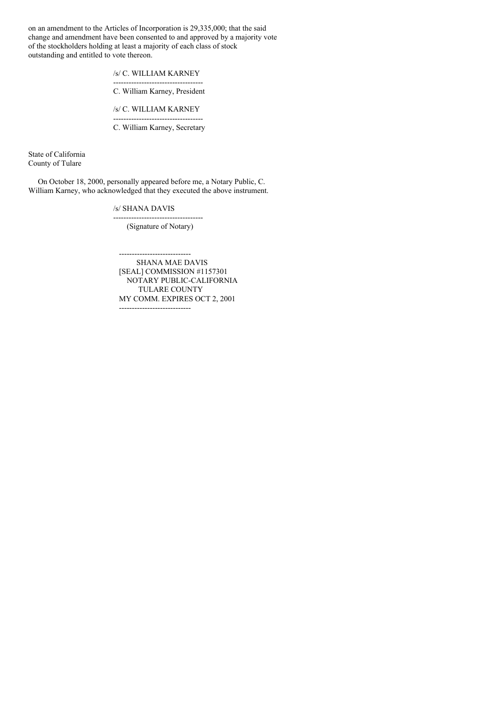on an amendment to the Articles of Incorporation is 29,335,000; that the said change and amendment have been consented to and approved by a majority vote of the stockholders holding at least a majority of each class of stock outstanding and entitled to vote thereon.

> /s/ C. WILLIAM KARNEY -----------------------------------

C. William Karney, President

/s/ C. WILLIAM KARNEY -----------------------------------

C. William Karney, Secretary

State of California County of Tulare

On October 18, 2000, personally appeared before me, a Notary Public, C. William Karney, who acknowledged that they executed the above instrument.

/s/ SHANA DAVIS

----------------------------------- (Signature of Notary)

---------------------------- SHANA MAE DAVIS [SEAL] COMMISSION #1157301 NOTARY PUBLIC-CALIFORNIA TULARE COUNTY MY COMM. EXPIRES OCT 2, 2001 ----------------------------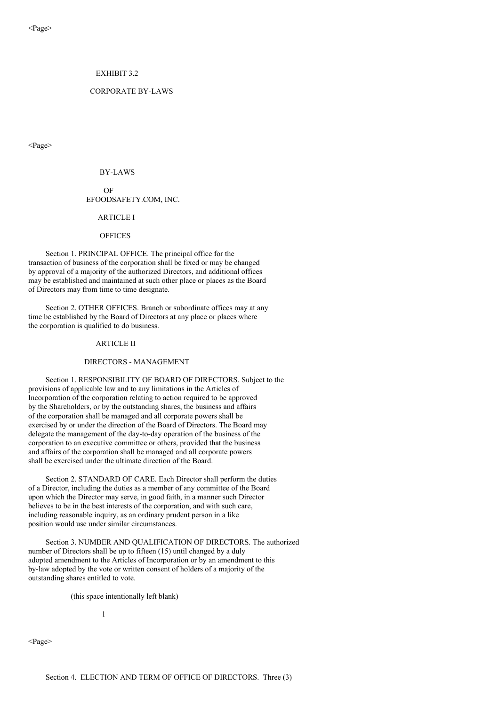### EXHIBIT 3.2

## CORPORATE BY-LAWS

<Page>

#### BY-LAWS

OF EFOODSAFETY.COM, INC.

# ARTICLE I

### **OFFICES**

Section 1. PRINCIPAL OFFICE. The principal office for the transaction of business of the corporation shall be fixed or may be changed by approval of a majority of the authorized Directors, and additional offices may be established and maintained at such other place or places as the Board of Directors may from time to time designate.

Section 2. OTHER OFFICES. Branch or subordinate offices may at any time be established by the Board of Directors at any place or places where the corporation is qualified to do business.

# ARTICLE II

#### DIRECTORS - MANAGEMENT

Section 1. RESPONSIBILITY OF BOARD OF DIRECTORS. Subject to the provisions of applicable law and to any limitations in the Articles of Incorporation of the corporation relating to action required to be approved by the Shareholders, or by the outstanding shares, the business and affairs of the corporation shall be managed and all corporate powers shall be exercised by or under the direction of the Board of Directors. The Board may delegate the management of the day-to-day operation of the business of the corporation to an executive committee or others, provided that the business and affairs of the corporation shall be managed and all corporate powers shall be exercised under the ultimate direction of the Board.

Section 2. STANDARD OF CARE. Each Director shall perform the duties of a Director, including the duties as a member of any committee of the Board upon which the Director may serve, in good faith, in a manner such Director believes to be in the best interests of the corporation, and with such care, including reasonable inquiry, as an ordinary prudent person in a like position would use under similar circumstances.

Section 3. NUMBER AND QUALIFICATION OF DIRECTORS. The authorized number of Directors shall be up to fifteen (15) until changed by a duly adopted amendment to the Articles of Incorporation or by an amendment to this by-law adopted by the vote or written consent of holders of a majority of the outstanding shares entitled to vote.

(this space intentionally left blank)

1

<Page>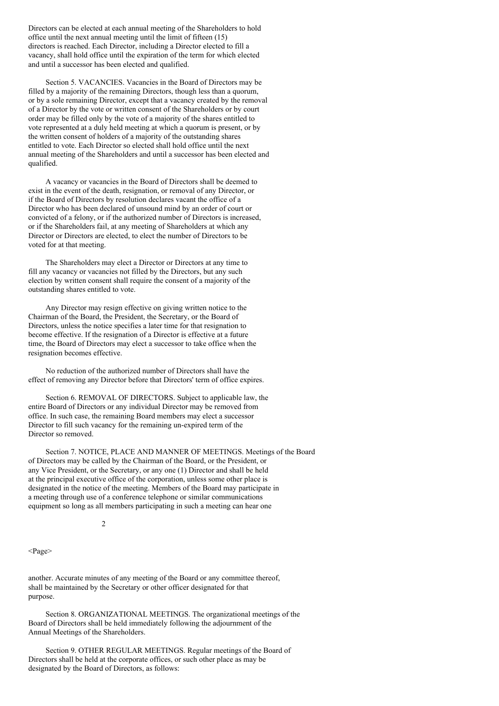Directors can be elected at each annual meeting of the Shareholders to hold office until the next annual meeting until the limit of fifteen (15) directors is reached. Each Director, including a Director elected to fill a vacancy, shall hold office until the expiration of the term for which elected and until a successor has been elected and qualified.

Section 5. VACANCIES. Vacancies in the Board of Directors may be filled by a majority of the remaining Directors, though less than a quorum, or by a sole remaining Director, except that a vacancy created by the removal of a Director by the vote or written consent of the Shareholders or by court order may be filled only by the vote of a majority of the shares entitled to vote represented at a duly held meeting at which a quorum is present, or by the written consent of holders of a majority of the outstanding shares entitled to vote. Each Director so elected shall hold office until the next annual meeting of the Shareholders and until a successor has been elected and qualified.

A vacancy or vacancies in the Board of Directors shall be deemed to exist in the event of the death, resignation, or removal of any Director, or if the Board of Directors by resolution declares vacant the office of a Director who has been declared of unsound mind by an order of court or convicted of a felony, or if the authorized number of Directors is increased, or if the Shareholders fail, at any meeting of Shareholders at which any Director or Directors are elected, to elect the number of Directors to be voted for at that meeting.

The Shareholders may elect a Director or Directors at any time to fill any vacancy or vacancies not filled by the Directors, but any such election by written consent shall require the consent of a majority of the outstanding shares entitled to vote.

Any Director may resign effective on giving written notice to the Chairman of the Board, the President, the Secretary, or the Board of Directors, unless the notice specifies a later time for that resignation to become effective. If the resignation of a Director is effective at a future time, the Board of Directors may elect a successor to take office when the resignation becomes effective.

No reduction of the authorized number of Directors shall have the effect of removing any Director before that Directors' term of office expires.

Section 6. REMOVAL OF DIRECTORS. Subject to applicable law, the entire Board of Directors or any individual Director may be removed from office. In such case, the remaining Board members may elect a successor Director to fill such vacancy for the remaining un-expired term of the Director so removed.

Section 7. NOTICE, PLACE AND MANNER OF MEETINGS. Meetings of the Board of Directors may be called by the Chairman of the Board, or the President, or any Vice President, or the Secretary, or any one (1) Director and shall be held at the principal executive office of the corporation, unless some other place is designated in the notice of the meeting. Members of the Board may participate in a meeting through use of a conference telephone or similar communications equipment so long as all members participating in such a meeting can hear one

2

<Page>

another. Accurate minutes of any meeting of the Board or any committee thereof, shall be maintained by the Secretary or other officer designated for that purpose.

Section 8. ORGANIZATIONAL MEETINGS. The organizational meetings of the Board of Directors shall be held immediately following the adjournment of the Annual Meetings of the Shareholders.

Section 9. OTHER REGULAR MEETINGS. Regular meetings of the Board of Directors shall be held at the corporate offices, or such other place as may be designated by the Board of Directors, as follows: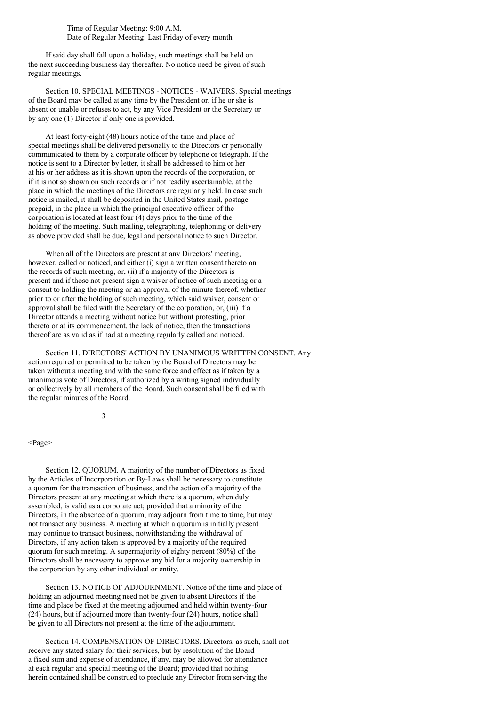Time of Regular Meeting: 9:00 A.M. Date of Regular Meeting: Last Friday of every month

If said day shall fall upon a holiday, such meetings shall be held on the next succeeding business day thereafter. No notice need be given of such regular meetings.

Section 10. SPECIAL MEETINGS - NOTICES - WAIVERS. Special meetings of the Board may be called at any time by the President or, if he or she is absent or unable or refuses to act, by any Vice President or the Secretary or by any one (1) Director if only one is provided.

At least forty-eight (48) hours notice of the time and place of special meetings shall be delivered personally to the Directors or personally communicated to them by a corporate officer by telephone or telegraph. If the notice is sent to a Director by letter, it shall be addressed to him or her at his or her address as it is shown upon the records of the corporation, or if it is not so shown on such records or if not readily ascertainable, at the place in which the meetings of the Directors are regularly held. In case such notice is mailed, it shall be deposited in the United States mail, postage prepaid, in the place in which the principal executive officer of the corporation is located at least four (4) days prior to the time of the holding of the meeting. Such mailing, telegraphing, telephoning or delivery as above provided shall be due, legal and personal notice to such Director.

When all of the Directors are present at any Directors' meeting, however, called or noticed, and either (i) sign a written consent thereto on the records of such meeting, or, (ii) if a majority of the Directors is present and if those not present sign a waiver of notice of such meeting or a consent to holding the meeting or an approval of the minute thereof, whether prior to or after the holding of such meeting, which said waiver, consent or approval shall be filed with the Secretary of the corporation, or, (iii) if a Director attends a meeting without notice but without protesting, prior thereto or at its commencement, the lack of notice, then the transactions thereof are as valid as if had at a meeting regularly called and noticed.

Section 11. DIRECTORS' ACTION BY UNANIMOUS WRITTEN CONSENT. Any action required or permitted to be taken by the Board of Directors may be taken without a meeting and with the same force and effect as if taken by a unanimous vote of Directors, if authorized by a writing signed individually or collectively by all members of the Board. Such consent shall be filed with the regular minutes of the Board.

3

<Page>

Section 12. QUORUM. A majority of the number of Directors as fixed by the Articles of Incorporation or By-Laws shall be necessary to constitute a quorum for the transaction of business, and the action of a majority of the Directors present at any meeting at which there is a quorum, when duly assembled, is valid as a corporate act; provided that a minority of the Directors, in the absence of a quorum, may adjourn from time to time, but may not transact any business. A meeting at which a quorum is initially present may continue to transact business, notwithstanding the withdrawal of Directors, if any action taken is approved by a majority of the required quorum for such meeting. A supermajority of eighty percent (80%) of the Directors shall be necessary to approve any bid for a majority ownership in the corporation by any other individual or entity.

Section 13. NOTICE OF ADJOURNMENT. Notice of the time and place of holding an adjourned meeting need not be given to absent Directors if the time and place be fixed at the meeting adjourned and held within twenty-four (24) hours, but if adjourned more than twenty-four (24) hours, notice shall be given to all Directors not present at the time of the adjournment.

Section 14. COMPENSATION OF DIRECTORS. Directors, as such, shall not receive any stated salary for their services, but by resolution of the Board a fixed sum and expense of attendance, if any, may be allowed for attendance at each regular and special meeting of the Board; provided that nothing herein contained shall be construed to preclude any Director from serving the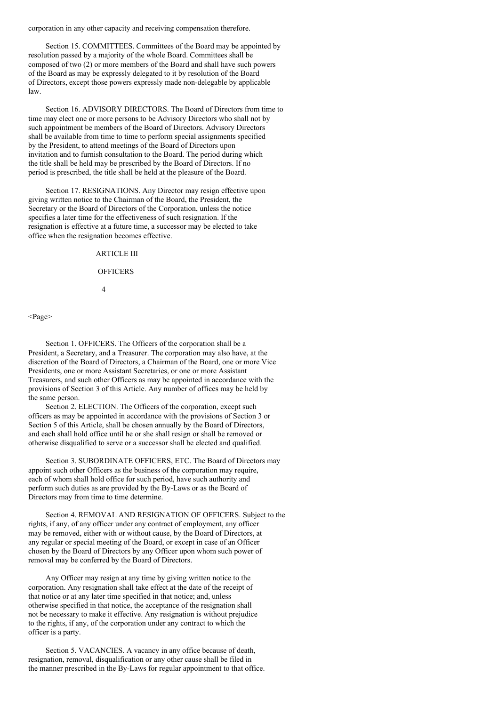corporation in any other capacity and receiving compensation therefore.

Section 15. COMMITTEES. Committees of the Board may be appointed by resolution passed by a majority of the whole Board. Committees shall be composed of two (2) or more members of the Board and shall have such powers of the Board as may be expressly delegated to it by resolution of the Board of Directors, except those powers expressly made non-delegable by applicable law.

Section 16. ADVISORY DIRECTORS. The Board of Directors from time to time may elect one or more persons to be Advisory Directors who shall not by such appointment be members of the Board of Directors. Advisory Directors shall be available from time to time to perform special assignments specified by the President, to attend meetings of the Board of Directors upon invitation and to furnish consultation to the Board. The period during which the title shall be held may be prescribed by the Board of Directors. If no period is prescribed, the title shall be held at the pleasure of the Board.

Section 17. RESIGNATIONS. Any Director may resign effective upon giving written notice to the Chairman of the Board, the President, the Secretary or the Board of Directors of the Corporation, unless the notice specifies a later time for the effectiveness of such resignation. If the resignation is effective at a future time, a successor may be elected to take office when the resignation becomes effective.

# ARTICLE III

# **OFFICERS**

4

#### <Page>

Section 1. OFFICERS. The Officers of the corporation shall be a President, a Secretary, and a Treasurer. The corporation may also have, at the discretion of the Board of Directors, a Chairman of the Board, one or more Vice Presidents, one or more Assistant Secretaries, or one or more Assistant Treasurers, and such other Officers as may be appointed in accordance with the provisions of Section 3 of this Article. Any number of offices may be held by the same person.

Section 2. ELECTION. The Officers of the corporation, except such officers as may be appointed in accordance with the provisions of Section 3 or Section 5 of this Article, shall be chosen annually by the Board of Directors, and each shall hold office until he or she shall resign or shall be removed or otherwise disqualified to serve or a successor shall be elected and qualified.

Section 3. SUBORDINATE OFFICERS, ETC. The Board of Directors may appoint such other Officers as the business of the corporation may require, each of whom shall hold office for such period, have such authority and perform such duties as are provided by the By-Laws or as the Board of Directors may from time to time determine.

Section 4. REMOVAL AND RESIGNATION OF OFFICERS. Subject to the rights, if any, of any officer under any contract of employment, any officer may be removed, either with or without cause, by the Board of Directors, at any regular or special meeting of the Board, or except in case of an Officer chosen by the Board of Directors by any Officer upon whom such power of removal may be conferred by the Board of Directors.

Any Officer may resign at any time by giving written notice to the corporation. Any resignation shall take effect at the date of the receipt of that notice or at any later time specified in that notice; and, unless otherwise specified in that notice, the acceptance of the resignation shall not be necessary to make it effective. Any resignation is without prejudice to the rights, if any, of the corporation under any contract to which the officer is a party.

Section 5. VACANCIES. A vacancy in any office because of death, resignation, removal, disqualification or any other cause shall be filed in the manner prescribed in the By-Laws for regular appointment to that office.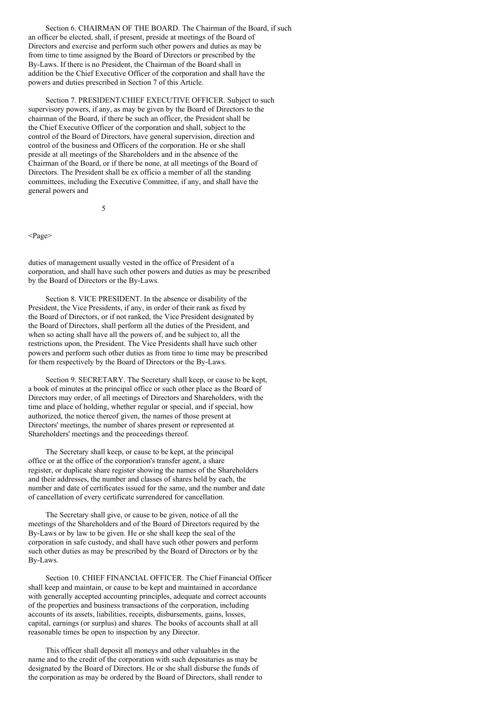Section 6. CHAIRMAN OF THE BOARD. The Chairman of the Board, if such an officer be elected, shall, if present, preside at meetings of the Board of Directors and exercise and perform such other powers and duties as may be from time to time assigned by the Board of Directors or prescribed by the By-Laws. If there is no President, the Chairman of the Board shall in addition be the Chief Executive Officer of the corporation and shall have the powers and duties prescribed in Section 7 of this Article.

Section 7. PRESIDENT/CHIEF EXECUTIVE OFFICER. Subject to such supervisory powers, if any, as may be given by the Board of Directors to the chairman of the Board, if there be such an officer, the President shall be the Chief Executive Officer of the corporation and shall, subject to the control of the Board of Directors, have general supervision, direction and control of the business and Officers of the corporation. He or she shall preside at all meetings of the Shareholders and in the absence of the Chairman of the Board, or if there be none, at all meetings of the Board of Directors. The President shall be ex officio a member of all the standing committees, including the Executive Committee, if any, and shall have the general powers and

5

<Page>

duties of management usually vested in the office of President of a corporation, and shall have such other powers and duties as may be prescribed by the Board of Directors or the By-Laws.

Section 8. VICE PRESIDENT. In the absence or disability of the President, the Vice Presidents, if any, in order of their rank as fixed by the Board of Directors, or if not ranked, the Vice President designated by the Board of Directors, shall perform all the duties of the President, and when so acting shall have all the powers of, and be subject to, all the restrictions upon, the President. The Vice Presidents shall have such other powers and perform such other duties as from time to time may be prescribed for them respectively by the Board of Directors or the By-Laws.

Section 9. SECRETARY. The Secretary shall keep, or cause to be kept, a book of minutes at the principal office or such other place as the Board of Directors may order, of all meetings of Directors and Shareholders, with the time and place of holding, whether regular or special, and if special, how authorized, the notice thereof given, the names of those present at Directors' meetings, the number of shares present or represented at Shareholders' meetings and the proceedings thereof.

The Secretary shall keep, or cause to be kept, at the principal office or at the office of the corporation's transfer agent, a share register, or duplicate share register showing the names of the Shareholders and their addresses, the number and classes of shares held by each, the number and date of certificates issued for the same, and the number and date of cancellation of every certificate surrendered for cancellation.

The Secretary shall give, or cause to be given, notice of all the meetings of the Shareholders and of the Board of Directors required by the By-Laws or by law to be given. He or she shall keep the seal of the corporation in safe custody, and shall have such other powers and perform such other duties as may be prescribed by the Board of Directors or by the By-Laws.

Section 10. CHIEF FINANCIAL OFFICER. The Chief Financial Officer shall keep and maintain, or cause to be kept and maintained in accordance with generally accepted accounting principles, adequate and correct accounts of the properties and business transactions of the corporation, including accounts of its assets, liabilities, receipts, disbursements, gains, losses, capital, earnings (or surplus) and shares. The books of accounts shall at all reasonable times be open to inspection by any Director.

This officer shall deposit all moneys and other valuables in the name and to the credit of the corporation with such depositaries as may be designated by the Board of Directors. He or she shall disburse the funds of the corporation as may be ordered by the Board of Directors, shall render to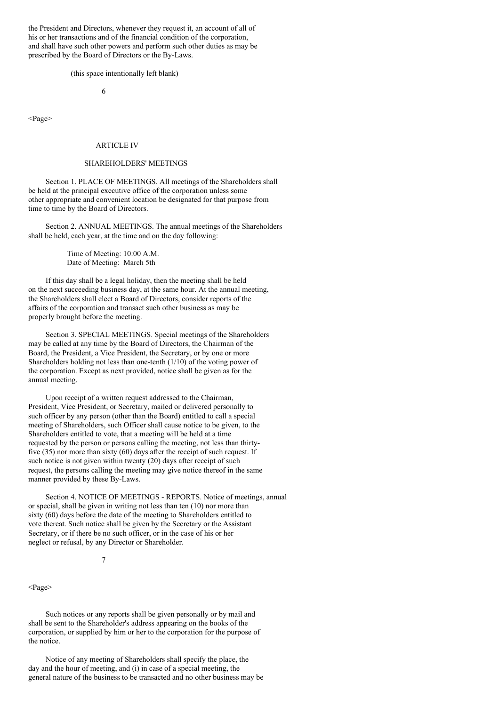the President and Directors, whenever they request it, an account of all of his or her transactions and of the financial condition of the corporation, and shall have such other powers and perform such other duties as may be prescribed by the Board of Directors or the By-Laws.

(this space intentionally left blank)

6

<Page>

#### ARTICLE IV

# SHAREHOLDERS' MEETINGS

Section 1. PLACE OF MEETINGS. All meetings of the Shareholders shall be held at the principal executive office of the corporation unless some other appropriate and convenient location be designated for that purpose from time to time by the Board of Directors.

Section 2. ANNUAL MEETINGS. The annual meetings of the Shareholders shall be held, each year, at the time and on the day following:

> Time of Meeting: 10:00 A.M. Date of Meeting: March 5th

If this day shall be a legal holiday, then the meeting shall be held on the next succeeding business day, at the same hour. At the annual meeting, the Shareholders shall elect a Board of Directors, consider reports of the affairs of the corporation and transact such other business as may be properly brought before the meeting.

Section 3. SPECIAL MEETINGS. Special meetings of the Shareholders may be called at any time by the Board of Directors, the Chairman of the Board, the President, a Vice President, the Secretary, or by one or more Shareholders holding not less than one-tenth (1/10) of the voting power of the corporation. Except as next provided, notice shall be given as for the annual meeting.

Upon receipt of a written request addressed to the Chairman, President, Vice President, or Secretary, mailed or delivered personally to such officer by any person (other than the Board) entitled to call a special meeting of Shareholders, such Officer shall cause notice to be given, to the Shareholders entitled to vote, that a meeting will be held at a time requested by the person or persons calling the meeting, not less than thirtyfive (35) nor more than sixty (60) days after the receipt of such request. If such notice is not given within twenty (20) days after receipt of such request, the persons calling the meeting may give notice thereof in the same manner provided by these By-Laws.

Section 4. NOTICE OF MEETINGS - REPORTS. Notice of meetings, annual or special, shall be given in writing not less than ten (10) nor more than sixty (60) days before the date of the meeting to Shareholders entitled to vote thereat. Such notice shall be given by the Secretary or the Assistant Secretary, or if there be no such officer, or in the case of his or her neglect or refusal, by any Director or Shareholder.

7

<Page>

Such notices or any reports shall be given personally or by mail and shall be sent to the Shareholder's address appearing on the books of the corporation, or supplied by him or her to the corporation for the purpose of the notice.

Notice of any meeting of Shareholders shall specify the place, the day and the hour of meeting, and (i) in case of a special meeting, the general nature of the business to be transacted and no other business may be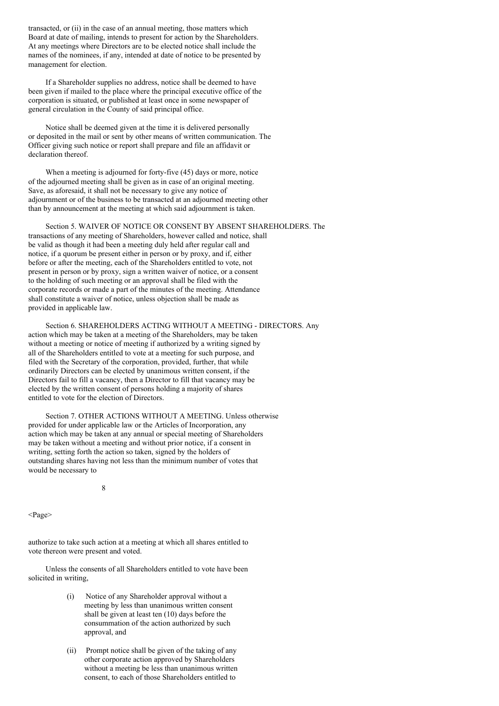transacted, or (ii) in the case of an annual meeting, those matters which Board at date of mailing, intends to present for action by the Shareholders. At any meetings where Directors are to be elected notice shall include the names of the nominees, if any, intended at date of notice to be presented by management for election.

If a Shareholder supplies no address, notice shall be deemed to have been given if mailed to the place where the principal executive office of the corporation is situated, or published at least once in some newspaper of general circulation in the County of said principal office.

Notice shall be deemed given at the time it is delivered personally or deposited in the mail or sent by other means of written communication. The Officer giving such notice or report shall prepare and file an affidavit or declaration thereof.

When a meeting is adjourned for forty-five (45) days or more, notice of the adjourned meeting shall be given as in case of an original meeting. Save, as aforesaid, it shall not be necessary to give any notice of adjournment or of the business to be transacted at an adjourned meeting other than by announcement at the meeting at which said adjournment is taken.

Section 5. WAIVER OF NOTICE OR CONSENT BY ABSENT SHAREHOLDERS. The transactions of any meeting of Shareholders, however called and notice, shall be valid as though it had been a meeting duly held after regular call and notice, if a quorum be present either in person or by proxy, and if, either before or after the meeting, each of the Shareholders entitled to vote, not present in person or by proxy, sign a written waiver of notice, or a consent to the holding of such meeting or an approval shall be filed with the corporate records or made a part of the minutes of the meeting. Attendance shall constitute a waiver of notice, unless objection shall be made as provided in applicable law.

Section 6. SHAREHOLDERS ACTING WITHOUT A MEETING - DIRECTORS. Any action which may be taken at a meeting of the Shareholders, may be taken without a meeting or notice of meeting if authorized by a writing signed by all of the Shareholders entitled to vote at a meeting for such purpose, and filed with the Secretary of the corporation, provided, further, that while ordinarily Directors can be elected by unanimous written consent, if the Directors fail to fill a vacancy, then a Director to fill that vacancy may be elected by the written consent of persons holding a majority of shares entitled to vote for the election of Directors.

Section 7. OTHER ACTIONS WITHOUT A MEETING. Unless otherwise provided for under applicable law or the Articles of Incorporation, any action which may be taken at any annual or special meeting of Shareholders may be taken without a meeting and without prior notice, if a consent in writing, setting forth the action so taken, signed by the holders of outstanding shares having not less than the minimum number of votes that would be necessary to

8

<Page>

authorize to take such action at a meeting at which all shares entitled to vote thereon were present and voted.

Unless the consents of all Shareholders entitled to vote have been solicited in writing,

- (i) Notice of any Shareholder approval without a meeting by less than unanimous written consent shall be given at least ten (10) days before the consummation of the action authorized by such approval, and
- (ii) Prompt notice shall be given of the taking of any other corporate action approved by Shareholders without a meeting be less than unanimous written consent, to each of those Shareholders entitled to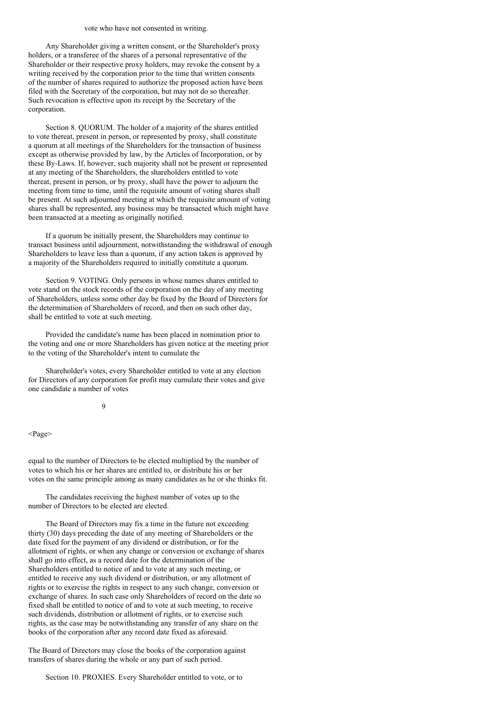#### vote who have not consented in writing.

Any Shareholder giving a written consent, or the Shareholder's proxy holders, or a transferee of the shares of a personal representative of the Shareholder or their respective proxy holders, may revoke the consent by a writing received by the corporation prior to the time that written consents of the number of shares required to authorize the proposed action have been filed with the Secretary of the corporation, but may not do so thereafter. Such revocation is effective upon its receipt by the Secretary of the corporation.

Section 8. QUORUM. The holder of a majority of the shares entitled to vote thereat, present in person, or represented by proxy, shall constitute a quorum at all meetings of the Shareholders for the transaction of business except as otherwise provided by law, by the Articles of Incorporation, or by these By-Laws. If, however, such majority shall not be present or represented at any meeting of the Shareholders, the shareholders entitled to vote thereat, present in person, or by proxy, shall have the power to adjourn the meeting from time to time, until the requisite amount of voting shares shall be present. At such adjourned meeting at which the requisite amount of voting shares shall be represented, any business may be transacted which might have been transacted at a meeting as originally notified.

If a quorum be initially present, the Shareholders may continue to transact business until adjournment, notwithstanding the withdrawal of enough Shareholders to leave less than a quorum, if any action taken is approved by a majority of the Shareholders required to initially constitute a quorum.

Section 9. VOTING. Only persons in whose names shares entitled to vote stand on the stock records of the corporation on the day of any meeting of Shareholders, unless some other day be fixed by the Board of Directors for the determination of Shareholders of record, and then on such other day, shall be entitled to vote at such meeting.

Provided the candidate's name has been placed in nomination prior to the voting and one or more Shareholders has given notice at the meeting prior to the voting of the Shareholder's intent to cumulate the

Shareholder's votes, every Shareholder entitled to vote at any election for Directors of any corporation for profit may cumulate their votes and give one candidate a number of votes

 $\Omega$ 

<Page>

equal to the number of Directors to be elected multiplied by the number of votes to which his or her shares are entitled to, or distribute his or her votes on the same principle among as many candidates as he or she thinks fit.

The candidates receiving the highest number of votes up to the number of Directors to be elected are elected.

The Board of Directors may fix a time in the future not exceeding thirty (30) days preceding the date of any meeting of Shareholders or the date fixed for the payment of any dividend or distribution, or for the allotment of rights, or when any change or conversion or exchange of shares shall go into effect, as a record date for the determination of the Shareholders entitled to notice of and to vote at any such meeting, or entitled to receive any such dividend or distribution, or any allotment of rights or to exercise the rights in respect to any such change, conversion or exchange of shares. In such case only Shareholders of record on the date so fixed shall be entitled to notice of and to vote at such meeting, to receive such dividends, distribution or allotment of rights, or to exercise such rights, as the case may be notwithstanding any transfer of any share on the books of the corporation after any record date fixed as aforesaid.

The Board of Directors may close the books of the corporation against transfers of shares during the whole or any part of such period.

Section 10. PROXIES. Every Shareholder entitled to vote, or to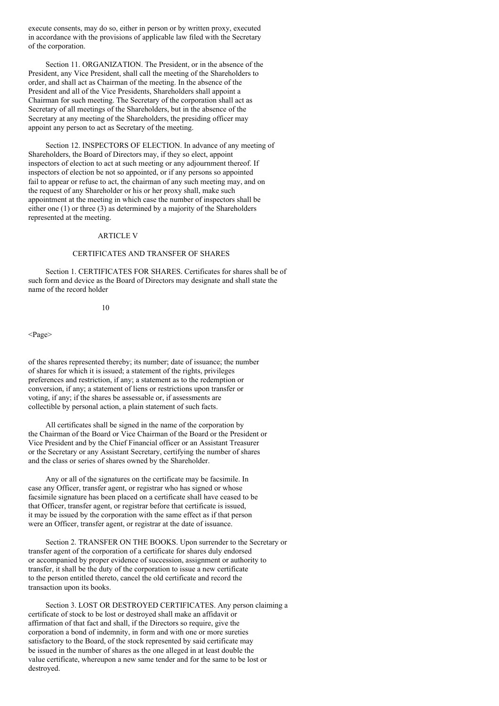execute consents, may do so, either in person or by written proxy, executed in accordance with the provisions of applicable law filed with the Secretary of the corporation.

Section 11. ORGANIZATION. The President, or in the absence of the President, any Vice President, shall call the meeting of the Shareholders to order, and shall act as Chairman of the meeting. In the absence of the President and all of the Vice Presidents, Shareholders shall appoint a Chairman for such meeting. The Secretary of the corporation shall act as Secretary of all meetings of the Shareholders, but in the absence of the Secretary at any meeting of the Shareholders, the presiding officer may appoint any person to act as Secretary of the meeting.

Section 12. INSPECTORS OF ELECTION. In advance of any meeting of Shareholders, the Board of Directors may, if they so elect, appoint inspectors of election to act at such meeting or any adjournment thereof. If inspectors of election be not so appointed, or if any persons so appointed fail to appear or refuse to act, the chairman of any such meeting may, and on the request of any Shareholder or his or her proxy shall, make such appointment at the meeting in which case the number of inspectors shall be either one (1) or three (3) as determined by a majority of the Shareholders represented at the meeting.

#### ARTICLE V

# CERTIFICATES AND TRANSFER OF SHARES

Section 1. CERTIFICATES FOR SHARES. Certificates for shares shall be of such form and device as the Board of Directors may designate and shall state the name of the record holder

### 10

<Page>

of the shares represented thereby; its number; date of issuance; the number of shares for which it is issued; a statement of the rights, privileges preferences and restriction, if any; a statement as to the redemption or conversion, if any; a statement of liens or restrictions upon transfer or voting, if any; if the shares be assessable or, if assessments are collectible by personal action, a plain statement of such facts.

All certificates shall be signed in the name of the corporation by the Chairman of the Board or Vice Chairman of the Board or the President or Vice President and by the Chief Financial officer or an Assistant Treasurer or the Secretary or any Assistant Secretary, certifying the number of shares and the class or series of shares owned by the Shareholder.

Any or all of the signatures on the certificate may be facsimile. In case any Officer, transfer agent, or registrar who has signed or whose facsimile signature has been placed on a certificate shall have ceased to be that Officer, transfer agent, or registrar before that certificate is issued, it may be issued by the corporation with the same effect as if that person were an Officer, transfer agent, or registrar at the date of issuance.

Section 2. TRANSFER ON THE BOOKS. Upon surrender to the Secretary or transfer agent of the corporation of a certificate for shares duly endorsed or accompanied by proper evidence of succession, assignment or authority to transfer, it shall be the duty of the corporation to issue a new certificate to the person entitled thereto, cancel the old certificate and record the transaction upon its books.

Section 3. LOST OR DESTROYED CERTIFICATES. Any person claiming a certificate of stock to be lost or destroyed shall make an affidavit or affirmation of that fact and shall, if the Directors so require, give the corporation a bond of indemnity, in form and with one or more sureties satisfactory to the Board, of the stock represented by said certificate may be issued in the number of shares as the one alleged in at least double the value certificate, whereupon a new same tender and for the same to be lost or destroyed.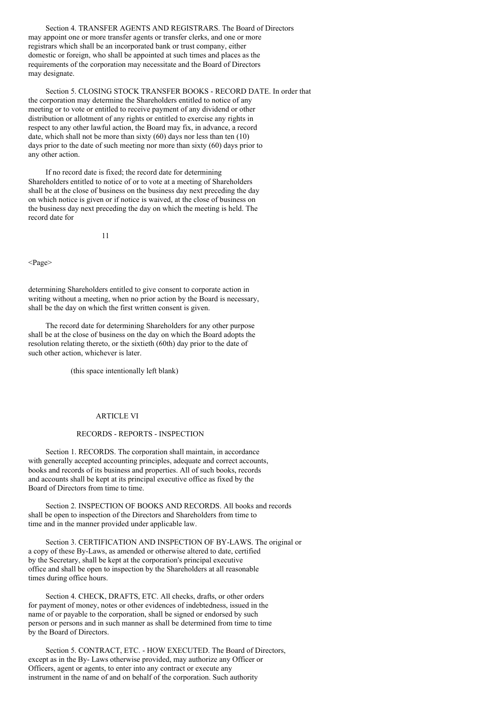Section 4. TRANSFER AGENTS AND REGISTRARS. The Board of Directors may appoint one or more transfer agents or transfer clerks, and one or more registrars which shall be an incorporated bank or trust company, either domestic or foreign, who shall be appointed at such times and places as the requirements of the corporation may necessitate and the Board of Directors may designate.

Section 5. CLOSING STOCK TRANSFER BOOKS - RECORD DATE. In order that the corporation may determine the Shareholders entitled to notice of any meeting or to vote or entitled to receive payment of any dividend or other distribution or allotment of any rights or entitled to exercise any rights in respect to any other lawful action, the Board may fix, in advance, a record date, which shall not be more than sixty (60) days nor less than ten (10) days prior to the date of such meeting nor more than sixty (60) days prior to any other action.

If no record date is fixed; the record date for determining Shareholders entitled to notice of or to vote at a meeting of Shareholders shall be at the close of business on the business day next preceding the day on which notice is given or if notice is waived, at the close of business on the business day next preceding the day on which the meeting is held. The record date for

11

<Page>

determining Shareholders entitled to give consent to corporate action in writing without a meeting, when no prior action by the Board is necessary, shall be the day on which the first written consent is given.

The record date for determining Shareholders for any other purpose shall be at the close of business on the day on which the Board adopts the resolution relating thereto, or the sixtieth (60th) day prior to the date of such other action, whichever is later.

(this space intentionally left blank)

# ARTICLE VI

### RECORDS - REPORTS - INSPECTION

Section 1. RECORDS. The corporation shall maintain, in accordance with generally accepted accounting principles, adequate and correct accounts, books and records of its business and properties. All of such books, records and accounts shall be kept at its principal executive office as fixed by the Board of Directors from time to time.

Section 2. INSPECTION OF BOOKS AND RECORDS. All books and records shall be open to inspection of the Directors and Shareholders from time to time and in the manner provided under applicable law.

Section 3. CERTIFICATION AND INSPECTION OF BY-LAWS. The original or a copy of these By-Laws, as amended or otherwise altered to date, certified by the Secretary, shall be kept at the corporation's principal executive office and shall be open to inspection by the Shareholders at all reasonable times during office hours.

Section 4. CHECK, DRAFTS, ETC. All checks, drafts, or other orders for payment of money, notes or other evidences of indebtedness, issued in the name of or payable to the corporation, shall be signed or endorsed by such person or persons and in such manner as shall be determined from time to time by the Board of Directors.

Section 5. CONTRACT, ETC. - HOW EXECUTED. The Board of Directors, except as in the By- Laws otherwise provided, may authorize any Officer or Officers, agent or agents, to enter into any contract or execute any instrument in the name of and on behalf of the corporation. Such authority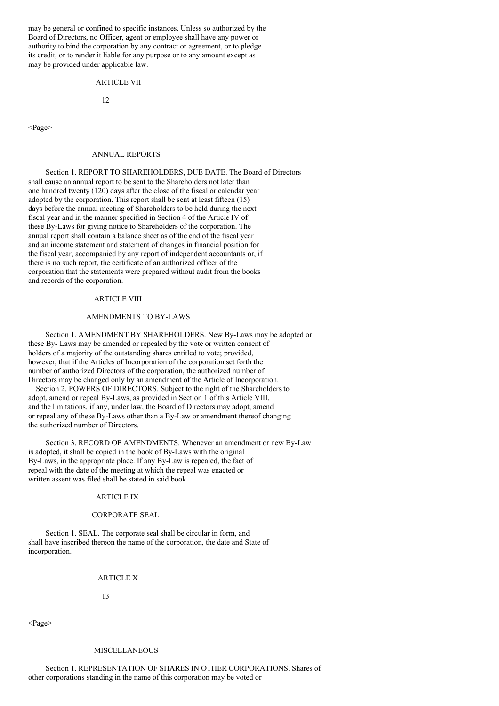may be general or confined to specific instances. Unless so authorized by the Board of Directors, no Officer, agent or employee shall have any power or authority to bind the corporation by any contract or agreement, or to pledge its credit, or to render it liable for any purpose or to any amount except as may be provided under applicable law.

### ARTICLE VII

#### $12$

<Page>

### ANNUAL REPORTS

Section 1. REPORT TO SHAREHOLDERS, DUE DATE. The Board of Directors shall cause an annual report to be sent to the Shareholders not later than one hundred twenty (120) days after the close of the fiscal or calendar year adopted by the corporation. This report shall be sent at least fifteen (15) days before the annual meeting of Shareholders to be held during the next fiscal year and in the manner specified in Section 4 of the Article IV of these By-Laws for giving notice to Shareholders of the corporation. The annual report shall contain a balance sheet as of the end of the fiscal year and an income statement and statement of changes in financial position for the fiscal year, accompanied by any report of independent accountants or, if there is no such report, the certificate of an authorized officer of the corporation that the statements were prepared without audit from the books and records of the corporation.

# ARTICLE VIII

### AMENDMENTS TO BY-LAWS

Section 1. AMENDMENT BY SHAREHOLDERS. New By-Laws may be adopted or these By- Laws may be amended or repealed by the vote or written consent of holders of a majority of the outstanding shares entitled to vote; provided, however, that if the Articles of Incorporation of the corporation set forth the number of authorized Directors of the corporation, the authorized number of Directors may be changed only by an amendment of the Article of Incorporation.

Section 2. POWERS OF DIRECTORS. Subject to the right of the Shareholders to adopt, amend or repeal By-Laws, as provided in Section 1 of this Article VIII, and the limitations, if any, under law, the Board of Directors may adopt, amend or repeal any of these By-Laws other than a By-Law or amendment thereof changing the authorized number of Directors.

Section 3. RECORD OF AMENDMENTS. Whenever an amendment or new By-Law is adopted, it shall be copied in the book of By-Laws with the original By-Laws, in the appropriate place. If any By-Law is repealed, the fact of repeal with the date of the meeting at which the repeal was enacted or written assent was filed shall be stated in said book.

#### ARTICLE IX

#### CORPORATE SEAL

Section 1. SEAL. The corporate seal shall be circular in form, and shall have inscribed thereon the name of the corporation, the date and State of incorporation.

#### ARTICLE X

13

<Page>

# MISCELLANEOUS

Section 1. REPRESENTATION OF SHARES IN OTHER CORPORATIONS. Shares of other corporations standing in the name of this corporation may be voted or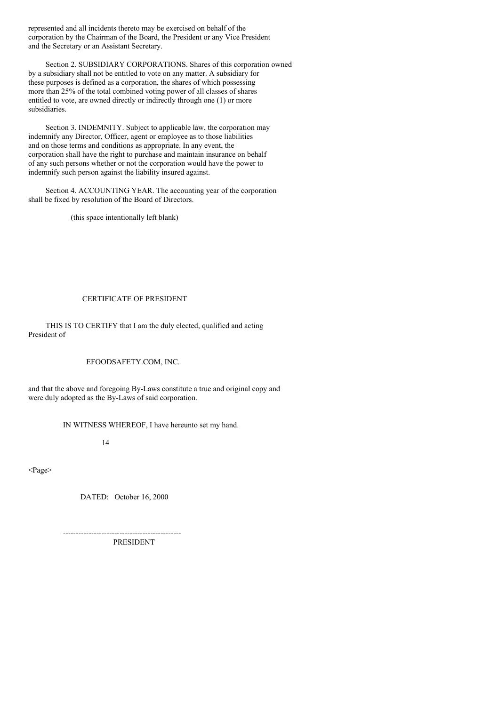represented and all incidents thereto may be exercised on behalf of the corporation by the Chairman of the Board, the President or any Vice President and the Secretary or an Assistant Secretary.

Section 2. SUBSIDIARY CORPORATIONS. Shares of this corporation owned by a subsidiary shall not be entitled to vote on any matter. A subsidiary for these purposes is defined as a corporation, the shares of which possessing more than 25% of the total combined voting power of all classes of shares entitled to vote, are owned directly or indirectly through one (1) or more subsidiaries.

Section 3. INDEMNITY. Subject to applicable law, the corporation may indemnify any Director, Officer, agent or employee as to those liabilities and on those terms and conditions as appropriate. In any event, the corporation shall have the right to purchase and maintain insurance on behalf of any such persons whether or not the corporation would have the power to indemnify such person against the liability insured against.

Section 4. ACCOUNTING YEAR. The accounting year of the corporation shall be fixed by resolution of the Board of Directors.

(this space intentionally left blank)

# CERTIFICATE OF PRESIDENT

THIS IS TO CERTIFY that I am the duly elected, qualified and acting President of

EFOODSAFETY.COM, INC.

and that the above and foregoing By-Laws constitute a true and original copy and were duly adopted as the By-Laws of said corporation.

IN WITNESS WHEREOF, I have hereunto set my hand.

14

<Page>

DATED: October 16, 2000

---------------------------------------------- PRESIDENT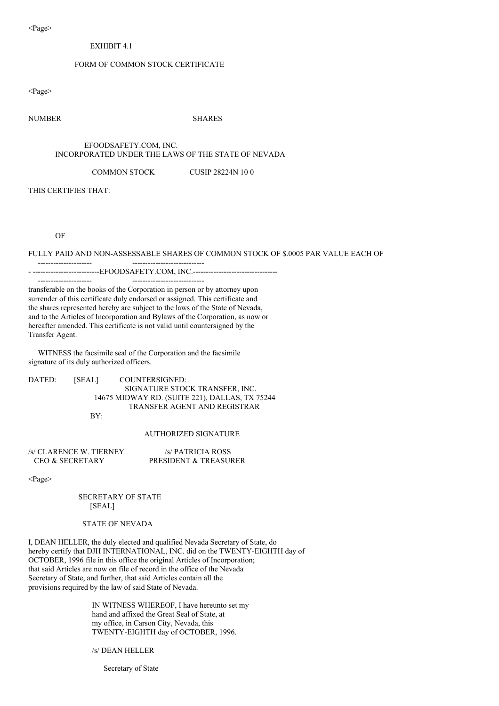<Page>

# EXHIBIT 4.1

# FORM OF COMMON STOCK CERTIFICATE

<Page>

# NUMBER SHARES

### EFOODSAFETY.COM, INC. INCORPORATED UNDER THE LAWS OF THE STATE OF NEVADA

### COMMON STOCK CUSIP 28224N 10 0

THIS CERTIFIES THAT:

OF

### FULLY PAID AND NON-ASSESSABLE SHARES OF COMMON STOCK OF \$.0005 PAR VALUE EACH OF

- ---------------------------EFOODSAFETY.COM, INC.-------------------------------

transferable on the books of the Corporation in person or by attorney upon surrender of this certificate duly endorsed or assigned. This certificate and the shares represented hereby are subject to the laws of the State of Nevada, and to the Articles of Incorporation and Bylaws of the Corporation, as now or hereafter amended. This certificate is not valid until countersigned by the Transfer Agent.

WITNESS the facsimile seal of the Corporation and the facsimile signature of its duly authorized officers.

--------------------- ----------------------------

--------------------- ----------------------------

DATED: [SEAL] COUNTERSIGNED: SIGNATURE STOCK TRANSFER, INC. 14675 MIDWAY RD. (SUITE 221), DALLAS, TX 75244 TRANSFER AGENT AND REGISTRAR

BY:

### AUTHORIZED SIGNATURE

| /s/ CLARENCE W. TIERNEY    | /s/ PATRICIA ROSS     |
|----------------------------|-----------------------|
| <b>CEO &amp; SECRETARY</b> | PRESIDENT & TREASURER |

<Page>

SECRETARY OF STATE [SEAL]

## STATE OF NEVADA

I, DEAN HELLER, the duly elected and qualified Nevada Secretary of State, do hereby certify that DJH INTERNATIONAL, INC. did on the TWENTY-EIGHTH day of OCTOBER, 1996 file in this office the original Articles of Incorporation; that said Articles are now on file of record in the office of the Nevada Secretary of State, and further, that said Articles contain all the provisions required by the law of said State of Nevada.

> IN WITNESS WHEREOF, I have hereunto set my hand and affixed the Great Seal of State, at my office, in Carson City, Nevada, this TWENTY-EIGHTH day of OCTOBER, 1996.

/s/ DEAN HELLER

Secretary of State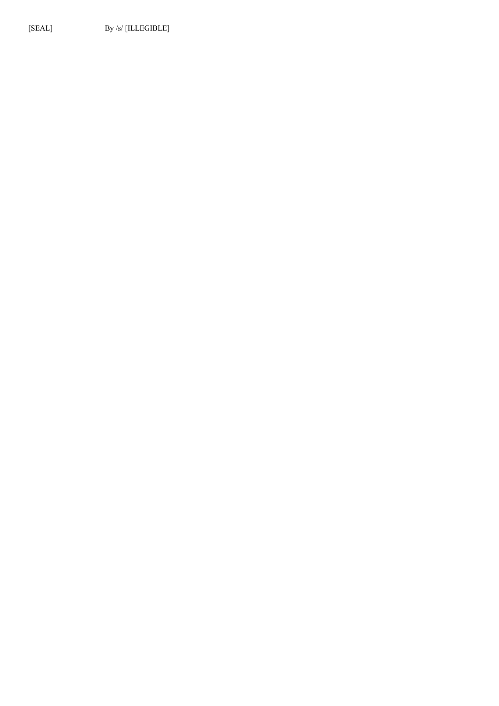[SEAL] By /s/ [ILLEGIBLE]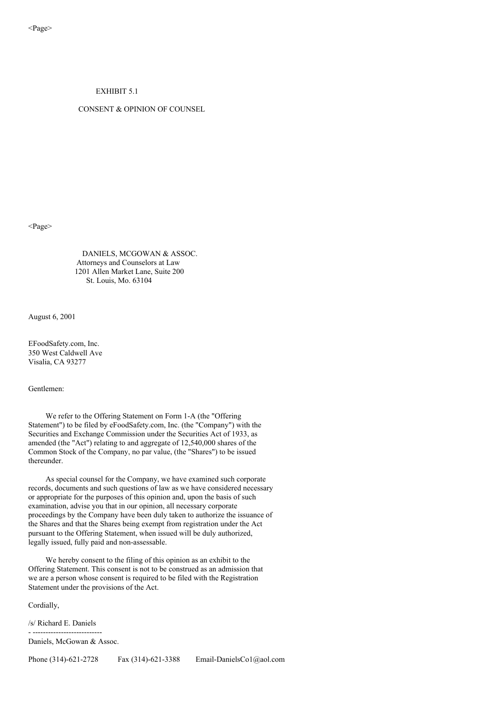# EXHIBIT 5.1

# CONSENT & OPINION OF COUNSEL

<Page>

DANIELS, MCGOWAN & ASSOC. Attorneys and Counselors at Law 1201 Allen Market Lane, Suite 200 St. Louis, Mo. 63104

August 6, 2001

EFoodSafety.com, Inc. 350 West Caldwell Ave Visalia, CA 93277

Gentlemen:

We refer to the Offering Statement on Form 1-A (the "Offering Statement") to be filed by eFoodSafety.com, Inc. (the "Company") with the Securities and Exchange Commission under the Securities Act of 1933, as amended (the "Act") relating to and aggregate of 12,540,000 shares of the Common Stock of the Company, no par value, (the "Shares") to be issued thereunder.

As special counsel for the Company, we have examined such corporate records, documents and such questions of law as we have considered necessary or appropriate for the purposes of this opinion and, upon the basis of such examination, advise you that in our opinion, all necessary corporate proceedings by the Company have been duly taken to authorize the issuance of the Shares and that the Shares being exempt from registration under the Act pursuant to the Offering Statement, when issued will be duly authorized, legally issued, fully paid and non-assessable.

We hereby consent to the filing of this opinion as an exhibit to the Offering Statement. This consent is not to be construed as an admission that we are a person whose consent is required to be filed with the Registration Statement under the provisions of the Act.

Cordially,

/s/ Richard E. Daniels - ---------------------------

Daniels, McGowan & Assoc.